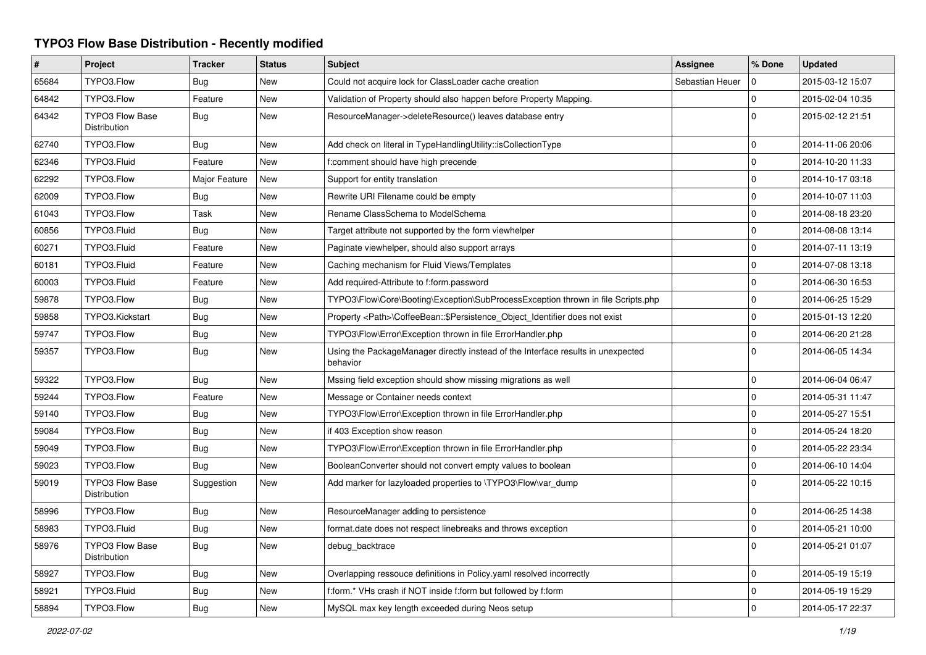## **TYPO3 Flow Base Distribution - Recently modified**

| #     | Project                                | <b>Tracker</b> | <b>Status</b> | <b>Subject</b>                                                                               | Assignee        | % Done       | <b>Updated</b>   |
|-------|----------------------------------------|----------------|---------------|----------------------------------------------------------------------------------------------|-----------------|--------------|------------------|
| 65684 | TYPO3.Flow                             | <b>Bug</b>     | New           | Could not acquire lock for ClassLoader cache creation                                        | Sebastian Heuer | $\mathbf 0$  | 2015-03-12 15:07 |
| 64842 | TYPO3.Flow                             | Feature        | New           | Validation of Property should also happen before Property Mapping.                           |                 | $\mathbf 0$  | 2015-02-04 10:35 |
| 64342 | TYPO3 Flow Base<br>Distribution        | Bug            | New           | ResourceManager->deleteResource() leaves database entry                                      |                 | $\mathbf 0$  | 2015-02-12 21:51 |
| 62740 | TYPO3.Flow                             | Bug            | New           | Add check on literal in TypeHandlingUtility::isCollectionType                                |                 | $\Omega$     | 2014-11-06 20:06 |
| 62346 | TYPO3.Fluid                            | Feature        | New           | f:comment should have high precende                                                          |                 | $\Omega$     | 2014-10-20 11:33 |
| 62292 | TYPO3.Flow                             | Major Feature  | New           | Support for entity translation                                                               |                 | $\mathbf{0}$ | 2014-10-17 03:18 |
| 62009 | TYPO3.Flow                             | <b>Bug</b>     | <b>New</b>    | Rewrite URI Filename could be empty                                                          |                 | $\mathbf 0$  | 2014-10-07 11:03 |
| 61043 | TYPO3.Flow                             | Task           | New           | Rename ClassSchema to ModelSchema                                                            |                 | $\mathbf 0$  | 2014-08-18 23:20 |
| 60856 | TYPO3.Fluid                            | Bug            | New           | Target attribute not supported by the form viewhelper                                        |                 | $\mathbf 0$  | 2014-08-08 13:14 |
| 60271 | TYPO3.Fluid                            | Feature        | New           | Paginate viewhelper, should also support arrays                                              |                 | $\mathbf 0$  | 2014-07-11 13:19 |
| 60181 | TYPO3.Fluid                            | Feature        | New           | Caching mechanism for Fluid Views/Templates                                                  |                 | $\mathbf 0$  | 2014-07-08 13:18 |
| 60003 | TYPO3.Fluid                            | Feature        | New           | Add required-Attribute to f:form.password                                                    |                 | $\mathbf 0$  | 2014-06-30 16:53 |
| 59878 | TYPO3.Flow                             | <b>Bug</b>     | <b>New</b>    | TYPO3\Flow\Core\Booting\Exception\SubProcessException thrown in file Scripts.php             |                 | $\mathbf 0$  | 2014-06-25 15:29 |
| 59858 | TYPO3.Kickstart                        | Bug            | <b>New</b>    | Property <path>\CoffeeBean:: \$Persistence Object Identifier does not exist</path>           |                 | $\mathbf{0}$ | 2015-01-13 12:20 |
| 59747 | TYPO3.Flow                             | Bug            | New           | TYPO3\Flow\Error\Exception thrown in file ErrorHandler.php                                   |                 | $\mathbf{0}$ | 2014-06-20 21:28 |
| 59357 | TYPO3.Flow                             | Bug            | <b>New</b>    | Using the PackageManager directly instead of the Interface results in unexpected<br>behavior |                 | $\mathbf 0$  | 2014-06-05 14:34 |
| 59322 | TYPO3.Flow                             | Bug            | New           | Mssing field exception should show missing migrations as well                                |                 | $\mathbf 0$  | 2014-06-04 06:47 |
| 59244 | TYPO3.Flow                             | Feature        | New           | Message or Container needs context                                                           |                 | $\mathbf 0$  | 2014-05-31 11:47 |
| 59140 | TYPO3.Flow                             | <b>Bug</b>     | New           | TYPO3\Flow\Error\Exception thrown in file ErrorHandler.php                                   |                 | $\mathbf 0$  | 2014-05-27 15:51 |
| 59084 | TYPO3.Flow                             | Bug            | New           | if 403 Exception show reason                                                                 |                 | $\pmb{0}$    | 2014-05-24 18:20 |
| 59049 | TYPO3.Flow                             | <b>Bug</b>     | <b>New</b>    | TYPO3\Flow\Error\Exception thrown in file ErrorHandler.php                                   |                 | $\mathbf 0$  | 2014-05-22 23:34 |
| 59023 | TYPO3.Flow                             | Bug            | <b>New</b>    | BooleanConverter should not convert empty values to boolean                                  |                 | $\mathbf{0}$ | 2014-06-10 14:04 |
| 59019 | TYPO3 Flow Base<br>Distribution        | Suggestion     | <b>New</b>    | Add marker for lazyloaded properties to \TYPO3\Flow\var dump                                 |                 | $\Omega$     | 2014-05-22 10:15 |
| 58996 | TYPO3.Flow                             | Bug            | <b>New</b>    | ResourceManager adding to persistence                                                        |                 | $\mathbf 0$  | 2014-06-25 14:38 |
| 58983 | TYPO3.Fluid                            | Bug            | New           | format.date does not respect linebreaks and throws exception                                 |                 | $\mathbf 0$  | 2014-05-21 10:00 |
| 58976 | <b>TYPO3 Flow Base</b><br>Distribution | Bug            | New           | debug_backtrace                                                                              |                 | $\mathbf 0$  | 2014-05-21 01:07 |
| 58927 | TYPO3.Flow                             | Bug            | New           | Overlapping ressouce definitions in Policy.yaml resolved incorrectly                         |                 | $\mathbf 0$  | 2014-05-19 15:19 |
| 58921 | TYPO3.Fluid                            | <b>Bug</b>     | New           | f:form.* VHs crash if NOT inside f:form but followed by f:form                               |                 | $\mathbf 0$  | 2014-05-19 15:29 |
| 58894 | TYPO3.Flow                             | <b>Bug</b>     | New           | MySQL max key length exceeded during Neos setup                                              |                 | $\Omega$     | 2014-05-17 22:37 |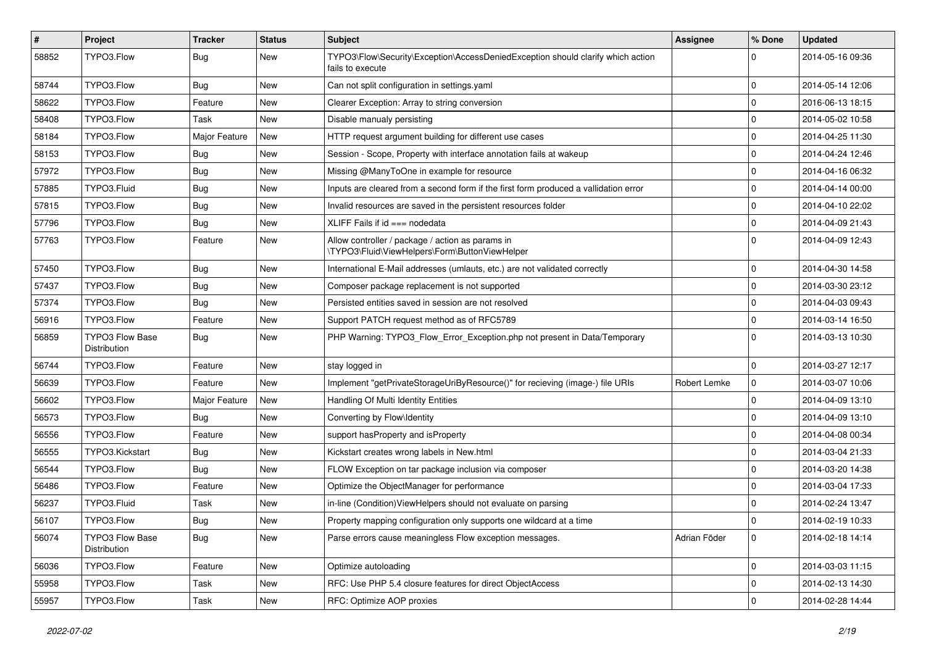| #     | Project                                | <b>Tracker</b> | <b>Status</b> | <b>Subject</b>                                                                                      | Assignee     | % Done      | <b>Updated</b>   |
|-------|----------------------------------------|----------------|---------------|-----------------------------------------------------------------------------------------------------|--------------|-------------|------------------|
| 58852 | TYPO3.Flow                             | Bug            | New           | TYPO3\Flow\Security\Exception\AccessDeniedException should clarify which action<br>fails to execute |              | $\Omega$    | 2014-05-16 09:36 |
| 58744 | TYPO3.Flow                             | Bug            | New           | Can not split configuration in settings yaml                                                        |              | $\mathbf 0$ | 2014-05-14 12:06 |
| 58622 | TYPO3.Flow                             | Feature        | New           | Clearer Exception: Array to string conversion                                                       |              | 0           | 2016-06-13 18:15 |
| 58408 | TYPO3.Flow                             | Task           | New           | Disable manualy persisting                                                                          |              | $\mathbf 0$ | 2014-05-02 10:58 |
| 58184 | TYPO3.Flow                             | Major Feature  | New           | HTTP request argument building for different use cases                                              |              | $\mathbf 0$ | 2014-04-25 11:30 |
| 58153 | TYPO3.Flow                             | Bug            | New           | Session - Scope, Property with interface annotation fails at wakeup                                 |              | 0           | 2014-04-24 12:46 |
| 57972 | TYPO3.Flow                             | Bug            | New           | Missing @ManyToOne in example for resource                                                          |              | $\mathbf 0$ | 2014-04-16 06:32 |
| 57885 | TYPO3.Fluid                            | Bug            | New           | Inputs are cleared from a second form if the first form produced a vallidation error                |              | $\mathbf 0$ | 2014-04-14 00:00 |
| 57815 | TYPO3.Flow                             | Bug            | New           | Invalid resources are saved in the persistent resources folder                                      |              | 0           | 2014-04-10 22:02 |
| 57796 | TYPO3.Flow                             | Bug            | New           | XLIFF Fails if $id ==$ nodedata                                                                     |              | 0           | 2014-04-09 21:43 |
| 57763 | TYPO3.Flow                             | Feature        | New           | Allow controller / package / action as params in<br>\TYPO3\Fluid\ViewHelpers\Form\ButtonViewHelper  |              | $\Omega$    | 2014-04-09 12:43 |
| 57450 | TYPO3.Flow                             | Bug            | New           | International E-Mail addresses (umlauts, etc.) are not validated correctly                          |              | $\mathbf 0$ | 2014-04-30 14:58 |
| 57437 | TYPO3.Flow                             | <b>Bug</b>     | New           | Composer package replacement is not supported                                                       |              | $\mathbf 0$ | 2014-03-30 23:12 |
| 57374 | TYPO3.Flow                             | <b>Bug</b>     | New           | Persisted entities saved in session are not resolved                                                |              | 0           | 2014-04-03 09:43 |
| 56916 | TYPO3.Flow                             | Feature        | New           | Support PATCH request method as of RFC5789                                                          |              | $\mathbf 0$ | 2014-03-14 16:50 |
| 56859 | <b>TYPO3 Flow Base</b><br>Distribution | Bug            | New           | PHP Warning: TYPO3_Flow_Error_Exception.php not present in Data/Temporary                           |              | $\Omega$    | 2014-03-13 10:30 |
| 56744 | TYPO3.Flow                             | Feature        | New           | stay logged in                                                                                      |              | $\mathbf 0$ | 2014-03-27 12:17 |
| 56639 | TYPO3.Flow                             | Feature        | New           | Implement "getPrivateStorageUriByResource()" for recieving (image-) file URIs                       | Robert Lemke | $\mathbf 0$ | 2014-03-07 10:06 |
| 56602 | TYPO3.Flow                             | Major Feature  | New           | Handling Of Multi Identity Entities                                                                 |              | $\mathbf 0$ | 2014-04-09 13:10 |
| 56573 | TYPO3.Flow                             | Bug            | New           | Converting by Flow\Identity                                                                         |              | $\mathbf 0$ | 2014-04-09 13:10 |
| 56556 | TYPO3.Flow                             | Feature        | New           | support has Property and is Property                                                                |              | $\mathbf 0$ | 2014-04-08 00:34 |
| 56555 | TYPO3.Kickstart                        | Bug            | New           | Kickstart creates wrong labels in New.html                                                          |              | $\mathbf 0$ | 2014-03-04 21:33 |
| 56544 | TYPO3.Flow                             | Bug            | New           | FLOW Exception on tar package inclusion via composer                                                |              | $\mathbf 0$ | 2014-03-20 14:38 |
| 56486 | TYPO3.Flow                             | Feature        | New           | Optimize the ObjectManager for performance                                                          |              | $\mathbf 0$ | 2014-03-04 17:33 |
| 56237 | TYPO3.Fluid                            | Task           | New           | in-line (Condition) ViewHelpers should not evaluate on parsing                                      |              | $\mathbf 0$ | 2014-02-24 13:47 |
| 56107 | TYPO3.Flow                             | i Bug          | New           | Property mapping configuration only supports one wildcard at a time                                 |              | $\Omega$    | 2014-02-19 10:33 |
| 56074 | TYPO3 Flow Base<br>Distribution        | Bug            | New           | Parse errors cause meaningless Flow exception messages.                                             | Adrian Föder | $\mathbf 0$ | 2014-02-18 14:14 |
| 56036 | TYPO3.Flow                             | Feature        | New           | Optimize autoloading                                                                                |              | $\mathbf 0$ | 2014-03-03 11:15 |
| 55958 | TYPO3.Flow                             | Task           | New           | RFC: Use PHP 5.4 closure features for direct ObjectAccess                                           |              | $\mathbf 0$ | 2014-02-13 14:30 |
| 55957 | TYPO3.Flow                             | Task           | New           | RFC: Optimize AOP proxies                                                                           |              | $\mathbf 0$ | 2014-02-28 14:44 |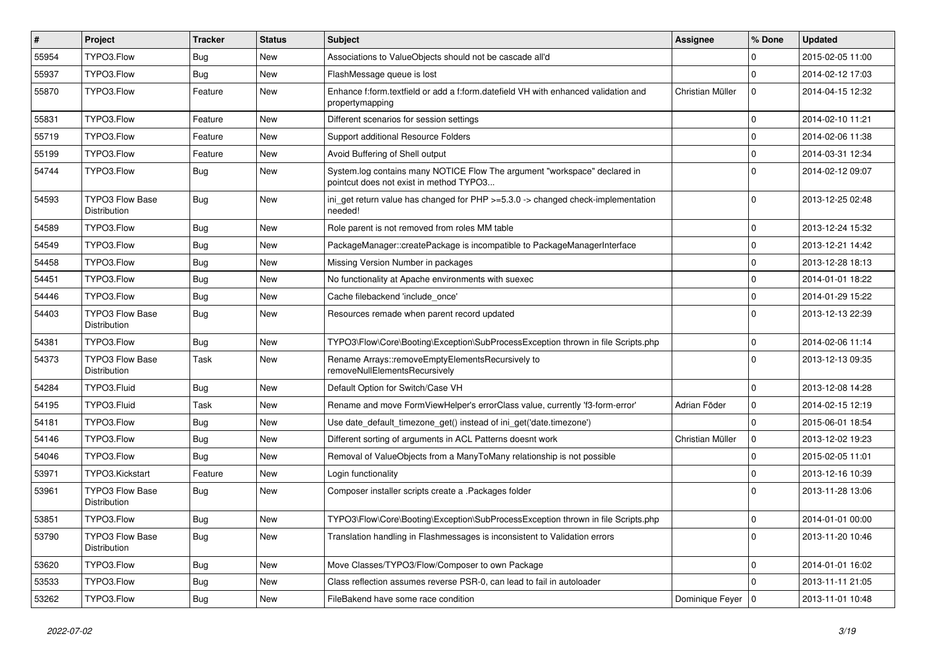| $\vert$ # | <b>Project</b>                         | <b>Tracker</b> | <b>Status</b> | Subject                                                                                                              | Assignee            | % Done      | <b>Updated</b>   |
|-----------|----------------------------------------|----------------|---------------|----------------------------------------------------------------------------------------------------------------------|---------------------|-------------|------------------|
| 55954     | TYPO3.Flow                             | Bug            | New           | Associations to ValueObjects should not be cascade all'd                                                             |                     | 0           | 2015-02-05 11:00 |
| 55937     | TYPO3.Flow                             | <b>Bug</b>     | New           | FlashMessage queue is lost                                                                                           |                     | $\mathbf 0$ | 2014-02-12 17:03 |
| 55870     | TYPO3.Flow                             | Feature        | New           | Enhance f:form.textfield or add a f:form.datefield VH with enhanced validation and<br>propertymapping                | Christian Müller    | $\mathbf 0$ | 2014-04-15 12:32 |
| 55831     | TYPO3.Flow                             | Feature        | <b>New</b>    | Different scenarios for session settings                                                                             |                     | $\mathbf 0$ | 2014-02-10 11:21 |
| 55719     | TYPO3.Flow                             | Feature        | New           | Support additional Resource Folders                                                                                  |                     | $\mathbf 0$ | 2014-02-06 11:38 |
| 55199     | TYPO3.Flow                             | Feature        | <b>New</b>    | Avoid Buffering of Shell output                                                                                      |                     | $\mathbf 0$ | 2014-03-31 12:34 |
| 54744     | TYPO3.Flow                             | Bug            | New           | System.log contains many NOTICE Flow The argument "workspace" declared in<br>pointcut does not exist in method TYPO3 |                     | $\Omega$    | 2014-02-12 09:07 |
| 54593     | <b>TYPO3 Flow Base</b><br>Distribution | <b>Bug</b>     | New           | ini_get return value has changed for PHP >=5.3.0 -> changed check-implementation<br>needed!                          |                     | $\Omega$    | 2013-12-25 02:48 |
| 54589     | TYPO3.Flow                             | <b>Bug</b>     | New           | Role parent is not removed from roles MM table                                                                       |                     | $\mathbf 0$ | 2013-12-24 15:32 |
| 54549     | TYPO3.Flow                             | <b>Bug</b>     | <b>New</b>    | PackageManager::createPackage is incompatible to PackageManagerInterface                                             |                     | 0           | 2013-12-21 14:42 |
| 54458     | TYPO3.Flow                             | Bug            | New           | Missing Version Number in packages                                                                                   |                     | $\mathbf 0$ | 2013-12-28 18:13 |
| 54451     | TYPO3.Flow                             | Bug            | New           | No functionality at Apache environments with suexec                                                                  |                     | $\mathbf 0$ | 2014-01-01 18:22 |
| 54446     | TYPO3.Flow                             | Bug            | New           | Cache filebackend 'include_once'                                                                                     |                     | $\mathbf 0$ | 2014-01-29 15:22 |
| 54403     | <b>TYPO3 Flow Base</b><br>Distribution | Bug            | New           | Resources remade when parent record updated                                                                          |                     | $\Omega$    | 2013-12-13 22:39 |
| 54381     | TYPO3.Flow                             | <b>Bug</b>     | New           | TYPO3\Flow\Core\Booting\Exception\SubProcessException thrown in file Scripts.php                                     |                     | $\mathbf 0$ | 2014-02-06 11:14 |
| 54373     | <b>TYPO3 Flow Base</b><br>Distribution | Task           | New           | Rename Arrays::removeEmptyElementsRecursively to<br>removeNullElementsRecursively                                    |                     | $\Omega$    | 2013-12-13 09:35 |
| 54284     | TYPO3.Fluid                            | <b>Bug</b>     | New           | Default Option for Switch/Case VH                                                                                    |                     | $\Omega$    | 2013-12-08 14:28 |
| 54195     | TYPO3.Fluid                            | Task           | <b>New</b>    | Rename and move FormViewHelper's errorClass value, currently 'f3-form-error'                                         | Adrian Föder        | $\mathbf 0$ | 2014-02-15 12:19 |
| 54181     | TYPO3.Flow                             | Bug            | New           | Use date_default_timezone_get() instead of ini_get('date.timezone')                                                  |                     | $\mathbf 0$ | 2015-06-01 18:54 |
| 54146     | TYPO3.Flow                             | Bug            | New           | Different sorting of arguments in ACL Patterns doesnt work                                                           | Christian Müller    | $\mathbf 0$ | 2013-12-02 19:23 |
| 54046     | TYPO3.Flow                             | <b>Bug</b>     | New           | Removal of ValueObjects from a ManyToMany relationship is not possible                                               |                     | $\mathbf 0$ | 2015-02-05 11:01 |
| 53971     | TYPO3.Kickstart                        | Feature        | New           | Login functionality                                                                                                  |                     | $\mathbf 0$ | 2013-12-16 10:39 |
| 53961     | <b>TYPO3 Flow Base</b><br>Distribution | Bug            | New           | Composer installer scripts create a .Packages folder                                                                 |                     | $\Omega$    | 2013-11-28 13:06 |
| 53851     | TYPO3.Flow                             | <b>Bug</b>     | New           | TYPO3\Flow\Core\Booting\Exception\SubProcessException thrown in file Scripts.php                                     |                     | $\mathbf 0$ | 2014-01-01 00:00 |
| 53790     | <b>TYPO3 Flow Base</b><br>Distribution | <b>Bug</b>     | New           | Translation handling in Flashmessages is inconsistent to Validation errors                                           |                     | $\mathbf 0$ | 2013-11-20 10:46 |
| 53620     | TYPO3.Flow                             | <b>Bug</b>     | New           | Move Classes/TYPO3/Flow/Composer to own Package                                                                      |                     | $\mathbf 0$ | 2014-01-01 16:02 |
| 53533     | TYPO3.Flow                             | <b>Bug</b>     | New           | Class reflection assumes reverse PSR-0, can lead to fail in autoloader                                               |                     | $\mathbf 0$ | 2013-11-11 21:05 |
| 53262     | TYPO3.Flow                             | Bug            | New           | FileBakend have some race condition                                                                                  | Dominique Feyer   0 |             | 2013-11-01 10:48 |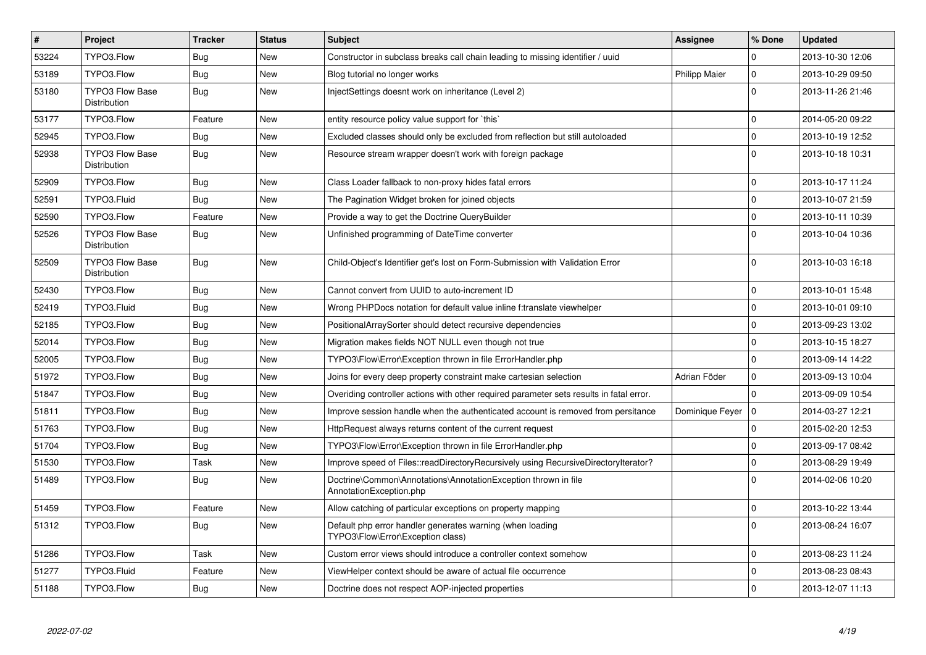| $\vert$ # | Project                                | <b>Tracker</b> | <b>Status</b> | <b>Subject</b>                                                                                 | Assignee             | % Done       | <b>Updated</b>   |
|-----------|----------------------------------------|----------------|---------------|------------------------------------------------------------------------------------------------|----------------------|--------------|------------------|
| 53224     | TYPO3.Flow                             | Bug            | New           | Constructor in subclass breaks call chain leading to missing identifier / uuid                 |                      | $\Omega$     | 2013-10-30 12:06 |
| 53189     | TYPO3.Flow                             | <b>Bug</b>     | <b>New</b>    | Blog tutorial no longer works                                                                  | <b>Philipp Maier</b> | $\mathbf 0$  | 2013-10-29 09:50 |
| 53180     | <b>TYPO3 Flow Base</b><br>Distribution | Bug            | New           | InjectSettings doesnt work on inheritance (Level 2)                                            |                      | $\Omega$     | 2013-11-26 21:46 |
| 53177     | TYPO3.Flow                             | Feature        | New           | entity resource policy value support for `this`                                                |                      | $\mathbf 0$  | 2014-05-20 09:22 |
| 52945     | TYPO3.Flow                             | <b>Bug</b>     | New           | Excluded classes should only be excluded from reflection but still autoloaded                  |                      | $\mathbf{0}$ | 2013-10-19 12:52 |
| 52938     | <b>TYPO3 Flow Base</b><br>Distribution | <b>Bug</b>     | New           | Resource stream wrapper doesn't work with foreign package                                      |                      | $\mathbf 0$  | 2013-10-18 10:31 |
| 52909     | TYPO3.Flow                             | <b>Bug</b>     | New           | Class Loader fallback to non-proxy hides fatal errors                                          |                      | $\mathbf 0$  | 2013-10-17 11:24 |
| 52591     | TYPO3.Fluid                            | Bug            | <b>New</b>    | The Pagination Widget broken for joined objects                                                |                      | $\mathbf 0$  | 2013-10-07 21:59 |
| 52590     | TYPO3.Flow                             | Feature        | <b>New</b>    | Provide a way to get the Doctrine QueryBuilder                                                 |                      | $\mathbf{0}$ | 2013-10-11 10:39 |
| 52526     | <b>TYPO3 Flow Base</b><br>Distribution | Bug            | <b>New</b>    | Unfinished programming of DateTime converter                                                   |                      | $\Omega$     | 2013-10-04 10:36 |
| 52509     | <b>TYPO3 Flow Base</b><br>Distribution | Bug            | <b>New</b>    | Child-Object's Identifier get's lost on Form-Submission with Validation Error                  |                      | $\Omega$     | 2013-10-03 16:18 |
| 52430     | TYPO3.Flow                             | Bug            | New           | Cannot convert from UUID to auto-increment ID                                                  |                      | $\mathbf 0$  | 2013-10-01 15:48 |
| 52419     | TYPO3.Fluid                            | Bug            | New           | Wrong PHPDocs notation for default value inline f:translate viewhelper                         |                      | $\mathbf 0$  | 2013-10-01 09:10 |
| 52185     | TYPO3.Flow                             | Bug            | New           | PositionalArraySorter should detect recursive dependencies                                     |                      | $\mathbf 0$  | 2013-09-23 13:02 |
| 52014     | TYPO3.Flow                             | <b>Bug</b>     | New           | Migration makes fields NOT NULL even though not true                                           |                      | $\mathbf 0$  | 2013-10-15 18:27 |
| 52005     | TYPO3.Flow                             | Bug            | New           | TYPO3\Flow\Error\Exception thrown in file ErrorHandler.php                                     |                      | $\mathbf 0$  | 2013-09-14 14:22 |
| 51972     | TYPO3.Flow                             | <b>Bug</b>     | <b>New</b>    | Joins for every deep property constraint make cartesian selection                              | Adrian Föder         | $\mathbf 0$  | 2013-09-13 10:04 |
| 51847     | TYPO3.Flow                             | Bug            | New           | Overiding controller actions with other required parameter sets results in fatal error.        |                      | $\mathbf 0$  | 2013-09-09 10:54 |
| 51811     | TYPO3.Flow                             | Bug            | New           | Improve session handle when the authenticated account is removed from persitance               | Dominique Feyer      | $\mathbf 0$  | 2014-03-27 12:21 |
| 51763     | TYPO3.Flow                             | Bug            | New           | HttpRequest always returns content of the current request                                      |                      | 0            | 2015-02-20 12:53 |
| 51704     | TYPO3.Flow                             | <b>Bug</b>     | <b>New</b>    | TYPO3\Flow\Error\Exception thrown in file ErrorHandler.php                                     |                      | $\mathbf 0$  | 2013-09-17 08:42 |
| 51530     | TYPO3.Flow                             | Task           | New           | Improve speed of Files::readDirectoryRecursively using RecursiveDirectoryIterator?             |                      | $\pmb{0}$    | 2013-08-29 19:49 |
| 51489     | TYPO3.Flow                             | Bug            | New           | Doctrine\Common\Annotations\AnnotationException thrown in file<br>AnnotationException.php      |                      | $\Omega$     | 2014-02-06 10:20 |
| 51459     | TYPO3.Flow                             | Feature        | New           | Allow catching of particular exceptions on property mapping                                    |                      | $\mathbf 0$  | 2013-10-22 13:44 |
| 51312     | TYPO3.Flow                             | <b>Bug</b>     | New           | Default php error handler generates warning (when loading<br>TYPO3\Flow\Error\Exception class) |                      | $\Omega$     | 2013-08-24 16:07 |
| 51286     | TYPO3.Flow                             | Task           | <b>New</b>    | Custom error views should introduce a controller context somehow                               |                      | $\mathbf 0$  | 2013-08-23 11:24 |
| 51277     | TYPO3.Fluid                            | Feature        | New           | ViewHelper context should be aware of actual file occurrence                                   |                      | $\pmb{0}$    | 2013-08-23 08:43 |
| 51188     | TYPO3.Flow                             | <b>Bug</b>     | New           | Doctrine does not respect AOP-injected properties                                              |                      | $\mathbf 0$  | 2013-12-07 11:13 |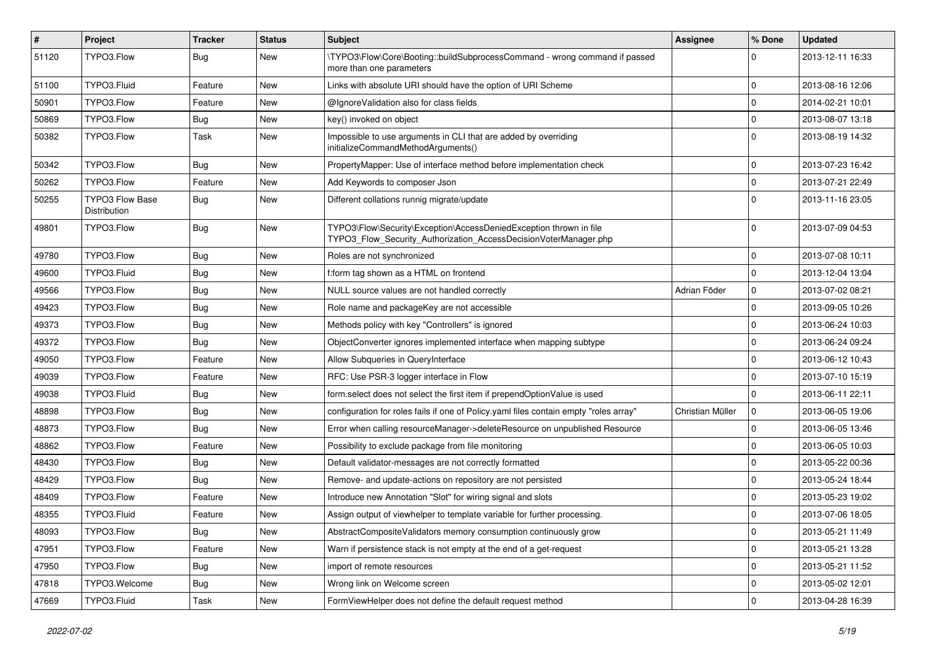| #     | Project                                | <b>Tracker</b> | <b>Status</b> | <b>Subject</b>                                                                                                                         | Assignee         | % Done      | <b>Updated</b>   |
|-------|----------------------------------------|----------------|---------------|----------------------------------------------------------------------------------------------------------------------------------------|------------------|-------------|------------------|
| 51120 | TYPO3.Flow                             | Bug            | New           | \TYPO3\Flow\Core\Booting::buildSubprocessCommand - wrong command if passed<br>more than one parameters                                 |                  | $\Omega$    | 2013-12-11 16:33 |
| 51100 | TYPO3.Fluid                            | Feature        | New           | Links with absolute URI should have the option of URI Scheme                                                                           |                  | $\mathbf 0$ | 2013-08-16 12:06 |
| 50901 | TYPO3.Flow                             | Feature        | New           | @IgnoreValidation also for class fields                                                                                                |                  | 0           | 2014-02-21 10:01 |
| 50869 | TYPO3.Flow                             | <b>Bug</b>     | New           | key() invoked on object                                                                                                                |                  | $\mathbf 0$ | 2013-08-07 13:18 |
| 50382 | TYPO3.Flow                             | Task           | New           | Impossible to use arguments in CLI that are added by overriding<br>initializeCommandMethodArguments()                                  |                  | $\mathbf 0$ | 2013-08-19 14:32 |
| 50342 | TYPO3.Flow                             | Bug            | New           | PropertyMapper: Use of interface method before implementation check                                                                    |                  | $\mathbf 0$ | 2013-07-23 16:42 |
| 50262 | TYPO3.Flow                             | Feature        | New           | Add Keywords to composer Json                                                                                                          |                  | $\mathbf 0$ | 2013-07-21 22:49 |
| 50255 | <b>TYPO3 Flow Base</b><br>Distribution | Bug            | New           | Different collations runnig migrate/update                                                                                             |                  | 0           | 2013-11-16 23:05 |
| 49801 | TYPO3.Flow                             | Bug            | New           | TYPO3\Flow\Security\Exception\AccessDeniedException thrown in file<br>TYPO3_Flow_Security_Authorization_AccessDecisionVoterManager.php |                  | 0           | 2013-07-09 04:53 |
| 49780 | TYPO3.Flow                             | Bug            | New           | Roles are not synchronized                                                                                                             |                  | 0           | 2013-07-08 10:11 |
| 49600 | TYPO3.Fluid                            | Bug            | New           | f:form tag shown as a HTML on frontend                                                                                                 |                  | $\mathbf 0$ | 2013-12-04 13:04 |
| 49566 | TYPO3.Flow                             | Bug            | New           | NULL source values are not handled correctly                                                                                           | Adrian Föder     | 0           | 2013-07-02 08:21 |
| 49423 | TYPO3.Flow                             | Bug            | New           | Role name and packageKey are not accessible                                                                                            |                  | $\mathbf 0$ | 2013-09-05 10:26 |
| 49373 | TYPO3.Flow                             | <b>Bug</b>     | New           | Methods policy with key "Controllers" is ignored                                                                                       |                  | 0           | 2013-06-24 10:03 |
| 49372 | TYPO3.Flow                             | Bug            | New           | ObjectConverter ignores implemented interface when mapping subtype                                                                     |                  | 0           | 2013-06-24 09:24 |
| 49050 | TYPO3.Flow                             | Feature        | New           | Allow Subqueries in QueryInterface                                                                                                     |                  | $\mathbf 0$ | 2013-06-12 10:43 |
| 49039 | TYPO3.Flow                             | Feature        | New           | RFC: Use PSR-3 logger interface in Flow                                                                                                |                  | $\mathbf 0$ | 2013-07-10 15:19 |
| 49038 | TYPO3.Fluid                            | Bug            | New           | form select does not select the first item if prependOptionValue is used                                                               |                  | 0           | 2013-06-11 22:11 |
| 48898 | TYPO3.Flow                             | <b>Bug</b>     | New           | configuration for roles fails if one of Policy yaml files contain empty "roles array"                                                  | Christian Müller | 0           | 2013-06-05 19:06 |
| 48873 | TYPO3.Flow                             | Bug            | New           | Error when calling resourceManager->deleteResource on unpublished Resource                                                             |                  | 0           | 2013-06-05 13:46 |
| 48862 | TYPO3.Flow                             | Feature        | New           | Possibility to exclude package from file monitoring                                                                                    |                  | 0           | 2013-06-05 10:03 |
| 48430 | TYPO3.Flow                             | <b>Bug</b>     | New           | Default validator-messages are not correctly formatted                                                                                 |                  | $\mathbf 0$ | 2013-05-22 00:36 |
| 48429 | TYPO3.Flow                             | Bug            | New           | Remove- and update-actions on repository are not persisted                                                                             |                  | 0           | 2013-05-24 18:44 |
| 48409 | TYPO3.Flow                             | Feature        | New           | Introduce new Annotation "Slot" for wiring signal and slots                                                                            |                  | $\mathbf 0$ | 2013-05-23 19:02 |
| 48355 | TYPO3.Fluid                            | Feature        | New           | Assign output of viewhelper to template variable for further processing.                                                               |                  | 0           | 2013-07-06 18:05 |
| 48093 | TYPO3.Flow                             | <b>Bug</b>     | New           | AbstractCompositeValidators memory consumption continuously grow                                                                       |                  | $\pmb{0}$   | 2013-05-21 11:49 |
| 47951 | TYPO3.Flow                             | Feature        | New           | Warn if persistence stack is not empty at the end of a get-request                                                                     |                  | $\mathbf 0$ | 2013-05-21 13:28 |
| 47950 | TYPO3.Flow                             | <b>Bug</b>     | New           | import of remote resources                                                                                                             |                  | $\mathbf 0$ | 2013-05-21 11:52 |
| 47818 | TYPO3.Welcome                          | <b>Bug</b>     | New           | Wrong link on Welcome screen                                                                                                           |                  | $\mathbf 0$ | 2013-05-02 12:01 |
| 47669 | TYPO3.Fluid                            | Task           | New           | FormViewHelper does not define the default request method                                                                              |                  | $\mathbf 0$ | 2013-04-28 16:39 |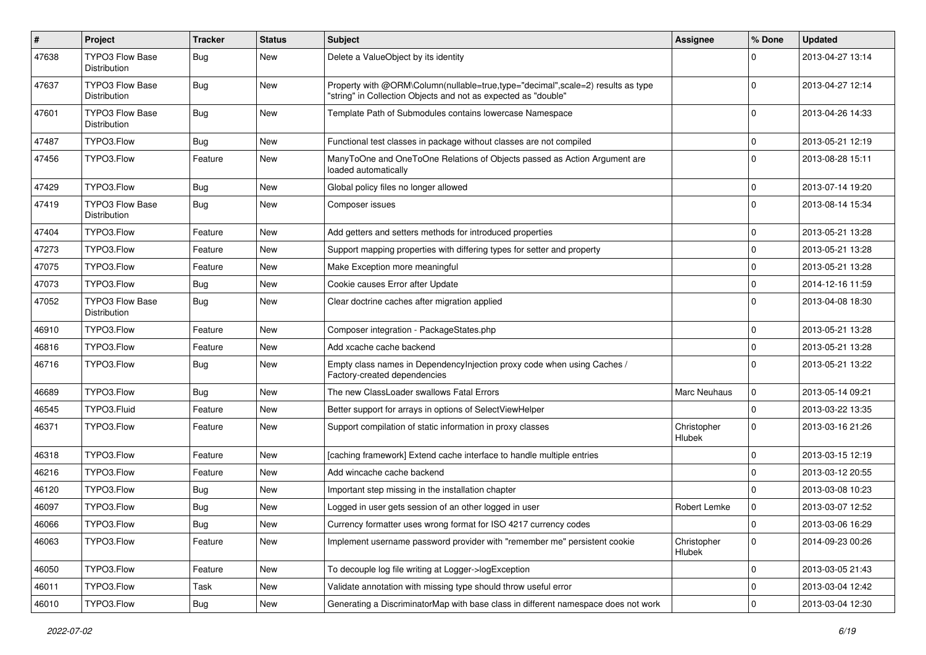| $\pmb{\#}$ | <b>Project</b>                         | <b>Tracker</b> | <b>Status</b> | <b>Subject</b>                                                                                                                                    | Assignee                     | % Done      | <b>Updated</b>   |
|------------|----------------------------------------|----------------|---------------|---------------------------------------------------------------------------------------------------------------------------------------------------|------------------------------|-------------|------------------|
| 47638      | <b>TYPO3 Flow Base</b><br>Distribution | <b>Bug</b>     | New           | Delete a ValueObject by its identity                                                                                                              |                              | $\Omega$    | 2013-04-27 13:14 |
| 47637      | <b>TYPO3 Flow Base</b><br>Distribution | Bug            | New           | Property with @ORM\Column(nullable=true,type="decimal",scale=2) results as type<br>"string" in Collection Objects and not as expected as "double" |                              | $\Omega$    | 2013-04-27 12:14 |
| 47601      | <b>TYPO3 Flow Base</b><br>Distribution | <b>Bug</b>     | New           | Template Path of Submodules contains lowercase Namespace                                                                                          |                              | $\Omega$    | 2013-04-26 14:33 |
| 47487      | TYPO3.Flow                             | Bug            | <b>New</b>    | Functional test classes in package without classes are not compiled                                                                               |                              | $\mathbf 0$ | 2013-05-21 12:19 |
| 47456      | TYPO3.Flow                             | Feature        | New           | ManyToOne and OneToOne Relations of Objects passed as Action Argument are<br>loaded automatically                                                 |                              | $\Omega$    | 2013-08-28 15:11 |
| 47429      | TYPO3.Flow                             | <b>Bug</b>     | New           | Global policy files no longer allowed                                                                                                             |                              | $\mathbf 0$ | 2013-07-14 19:20 |
| 47419      | <b>TYPO3 Flow Base</b><br>Distribution | Bug            | New           | Composer issues                                                                                                                                   |                              | $\Omega$    | 2013-08-14 15:34 |
| 47404      | TYPO3.Flow                             | Feature        | New           | Add getters and setters methods for introduced properties                                                                                         |                              | $\mathbf 0$ | 2013-05-21 13:28 |
| 47273      | TYPO3.Flow                             | Feature        | New           | Support mapping properties with differing types for setter and property                                                                           |                              | $\mathbf 0$ | 2013-05-21 13:28 |
| 47075      | TYPO3.Flow                             | Feature        | New           | Make Exception more meaningful                                                                                                                    |                              | $\Omega$    | 2013-05-21 13:28 |
| 47073      | TYPO3.Flow                             | Bug            | New           | Cookie causes Error after Update                                                                                                                  |                              | $\mathbf 0$ | 2014-12-16 11:59 |
| 47052      | <b>TYPO3 Flow Base</b><br>Distribution | Bug            | New           | Clear doctrine caches after migration applied                                                                                                     |                              | $\Omega$    | 2013-04-08 18:30 |
| 46910      | TYPO3.Flow                             | Feature        | New           | Composer integration - PackageStates.php                                                                                                          |                              | $\mathbf 0$ | 2013-05-21 13:28 |
| 46816      | TYPO3.Flow                             | Feature        | New           | Add xcache cache backend                                                                                                                          |                              | $\mathbf 0$ | 2013-05-21 13:28 |
| 46716      | TYPO3.Flow                             | <b>Bug</b>     | New           | Empty class names in Dependencylnjection proxy code when using Caches /<br>Factory-created dependencies                                           |                              | $\Omega$    | 2013-05-21 13:22 |
| 46689      | TYPO3.Flow                             | Bug            | New           | The new ClassLoader swallows Fatal Errors                                                                                                         | <b>Marc Neuhaus</b>          | 0           | 2013-05-14 09:21 |
| 46545      | TYPO3.Fluid                            | Feature        | New           | Better support for arrays in options of SelectViewHelper                                                                                          |                              | $\mathbf 0$ | 2013-03-22 13:35 |
| 46371      | TYPO3.Flow                             | Feature        | New           | Support compilation of static information in proxy classes                                                                                        | Christopher<br><b>Hlubek</b> | $\Omega$    | 2013-03-16 21:26 |
| 46318      | TYPO3.Flow                             | Feature        | New           | [caching framework] Extend cache interface to handle multiple entries                                                                             |                              | $\mathbf 0$ | 2013-03-15 12:19 |
| 46216      | TYPO3.Flow                             | Feature        | New           | Add wincache cache backend                                                                                                                        |                              | $\Omega$    | 2013-03-12 20:55 |
| 46120      | TYPO3.Flow                             | <b>Bug</b>     | New           | Important step missing in the installation chapter                                                                                                |                              | $\Omega$    | 2013-03-08 10:23 |
| 46097      | TYPO3.Flow                             | <b>Bug</b>     | New           | Logged in user gets session of an other logged in user                                                                                            | Robert Lemke                 | $\mathbf 0$ | 2013-03-07 12:52 |
| 46066      | TYPO3.Flow                             | <b>Bug</b>     | New           | Currency formatter uses wrong format for ISO 4217 currency codes                                                                                  |                              | 0           | 2013-03-06 16:29 |
| 46063      | TYPO3.Flow                             | Feature        | New           | Implement username password provider with "remember me" persistent cookie                                                                         | Christopher<br>Hlubek        | $\mathbf 0$ | 2014-09-23 00:26 |
| 46050      | TYPO3.Flow                             | Feature        | New           | To decouple log file writing at Logger->logException                                                                                              |                              | $\mathbf 0$ | 2013-03-05 21:43 |
| 46011      | TYPO3.Flow                             | Task           | New           | Validate annotation with missing type should throw useful error                                                                                   |                              | 0           | 2013-03-04 12:42 |
| 46010      | TYPO3.Flow                             | Bug            | New           | Generating a DiscriminatorMap with base class in different namespace does not work                                                                |                              | 0           | 2013-03-04 12:30 |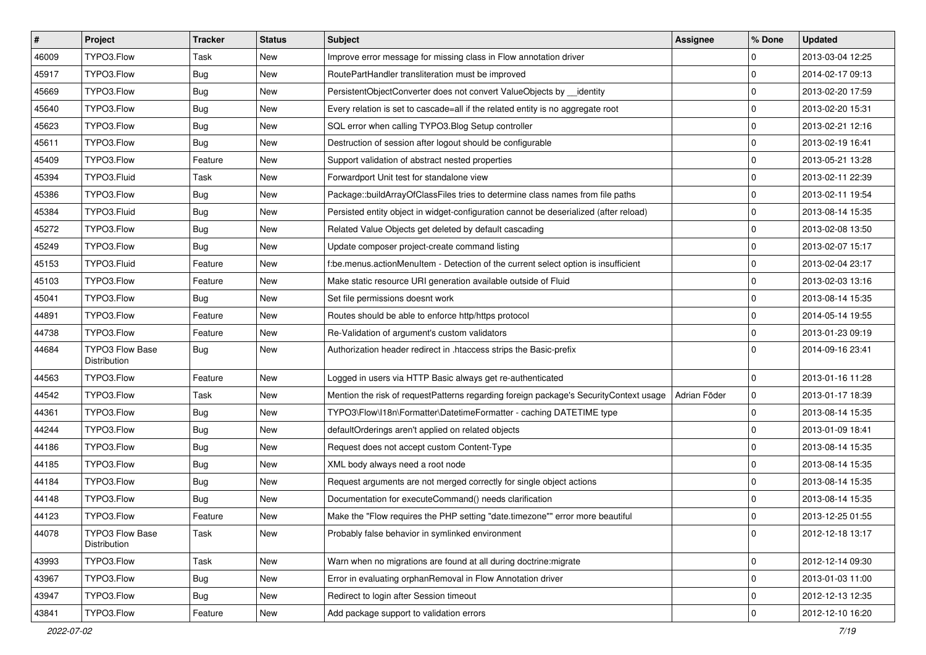| $\vert$ # | Project                                | <b>Tracker</b> | <b>Status</b> | Subject                                                                               | Assignee     | % Done       | <b>Updated</b>   |
|-----------|----------------------------------------|----------------|---------------|---------------------------------------------------------------------------------------|--------------|--------------|------------------|
| 46009     | TYPO3.Flow                             | Task           | New           | Improve error message for missing class in Flow annotation driver                     |              | 0            | 2013-03-04 12:25 |
| 45917     | TYPO3.Flow                             | Bug            | New           | RoutePartHandler transliteration must be improved                                     |              | $\mathbf 0$  | 2014-02-17 09:13 |
| 45669     | TYPO3.Flow                             | Bug            | New           | PersistentObjectConverter does not convert ValueObjects by identity                   |              | 0            | 2013-02-20 17:59 |
| 45640     | TYPO3.Flow                             | <b>Bug</b>     | New           | Every relation is set to cascade=all if the related entity is no aggregate root       |              | $\mathbf 0$  | 2013-02-20 15:31 |
| 45623     | TYPO3.Flow                             | <b>Bug</b>     | New           | SQL error when calling TYPO3.Blog Setup controller                                    |              | 0            | 2013-02-21 12:16 |
| 45611     | TYPO3.Flow                             | Bug            | New           | Destruction of session after logout should be configurable                            |              | $\mathbf 0$  | 2013-02-19 16:41 |
| 45409     | TYPO3.Flow                             | Feature        | New           | Support validation of abstract nested properties                                      |              | $\mathbf 0$  | 2013-05-21 13:28 |
| 45394     | TYPO3.Fluid                            | Task           | New           | Forwardport Unit test for standalone view                                             |              | $\mathbf 0$  | 2013-02-11 22:39 |
| 45386     | TYPO3.Flow                             | Bug            | New           | Package::buildArrayOfClassFiles tries to determine class names from file paths        |              | $\mathbf 0$  | 2013-02-11 19:54 |
| 45384     | TYPO3.Fluid                            | <b>Bug</b>     | New           | Persisted entity object in widget-configuration cannot be deserialized (after reload) |              | $\mathbf 0$  | 2013-08-14 15:35 |
| 45272     | TYPO3.Flow                             | Bug            | New           | Related Value Objects get deleted by default cascading                                |              | $\mathbf 0$  | 2013-02-08 13:50 |
| 45249     | TYPO3.Flow                             | <b>Bug</b>     | New           | Update composer project-create command listing                                        |              | $\mathbf 0$  | 2013-02-07 15:17 |
| 45153     | TYPO3.Fluid                            | Feature        | New           | f:be.menus.actionMenuItem - Detection of the current select option is insufficient    |              | $\mathbf 0$  | 2013-02-04 23:17 |
| 45103     | TYPO3.Flow                             | Feature        | New           | Make static resource URI generation available outside of Fluid                        |              | $\mathbf 0$  | 2013-02-03 13:16 |
| 45041     | TYPO3.Flow                             | <b>Bug</b>     | New           | Set file permissions doesnt work                                                      |              | $\mathbf 0$  | 2013-08-14 15:35 |
| 44891     | TYPO3.Flow                             | Feature        | New           | Routes should be able to enforce http/https protocol                                  |              | 0            | 2014-05-14 19:55 |
| 44738     | TYPO3.Flow                             | Feature        | New           | Re-Validation of argument's custom validators                                         |              | $\mathbf 0$  | 2013-01-23 09:19 |
| 44684     | <b>TYPO3 Flow Base</b><br>Distribution | Bug            | New           | Authorization header redirect in .htaccess strips the Basic-prefix                    |              | $\Omega$     | 2014-09-16 23:41 |
| 44563     | TYPO3.Flow                             | Feature        | New           | Logged in users via HTTP Basic always get re-authenticated                            |              | $\mathbf 0$  | 2013-01-16 11:28 |
| 44542     | TYPO3.Flow                             | Task           | New           | Mention the risk of requestPatterns regarding foreign package's SecurityContext usage | Adrian Föder | 0            | 2013-01-17 18:39 |
| 44361     | TYPO3.Flow                             | Bug            | New           | TYPO3\Flow\I18n\Formatter\DatetimeFormatter - caching DATETIME type                   |              | $\mathbf 0$  | 2013-08-14 15:35 |
| 44244     | TYPO3.Flow                             | Bug            | New           | defaultOrderings aren't applied on related objects                                    |              | $\mathbf 0$  | 2013-01-09 18:41 |
| 44186     | TYPO3.Flow                             | Bug            | New           | Request does not accept custom Content-Type                                           |              | $\mathbf 0$  | 2013-08-14 15:35 |
| 44185     | TYPO3.Flow                             | <b>Bug</b>     | New           | XML body always need a root node                                                      |              | $\mathbf 0$  | 2013-08-14 15:35 |
| 44184     | TYPO3.Flow                             | <b>Bug</b>     | New           | Request arguments are not merged correctly for single object actions                  |              | 0            | 2013-08-14 15:35 |
| 44148     | TYPO3.Flow                             | <b>Bug</b>     | New           | Documentation for executeCommand() needs clarification                                |              | $\mathbf 0$  | 2013-08-14 15:35 |
| 44123     | TYPO3.Flow                             | Feature        | New           | Make the "Flow requires the PHP setting "date.timezone"" error more beautiful         |              | $\mathbf 0$  | 2013-12-25 01:55 |
| 44078     | TYPO3 Flow Base<br>Distribution        | Task           | New           | Probably false behavior in symlinked environment                                      |              | 0            | 2012-12-18 13:17 |
| 43993     | TYPO3.Flow                             | Task           | New           | Warn when no migrations are found at all during doctrine: migrate                     |              | 0            | 2012-12-14 09:30 |
| 43967     | TYPO3.Flow                             | <b>Bug</b>     | New           | Error in evaluating orphanRemoval in Flow Annotation driver                           |              | 0            | 2013-01-03 11:00 |
| 43947     | TYPO3.Flow                             | <b>Bug</b>     | New           | Redirect to login after Session timeout                                               |              | 0            | 2012-12-13 12:35 |
| 43841     | TYPO3.Flow                             | Feature        | New           | Add package support to validation errors                                              |              | $\mathsf{O}$ | 2012-12-10 16:20 |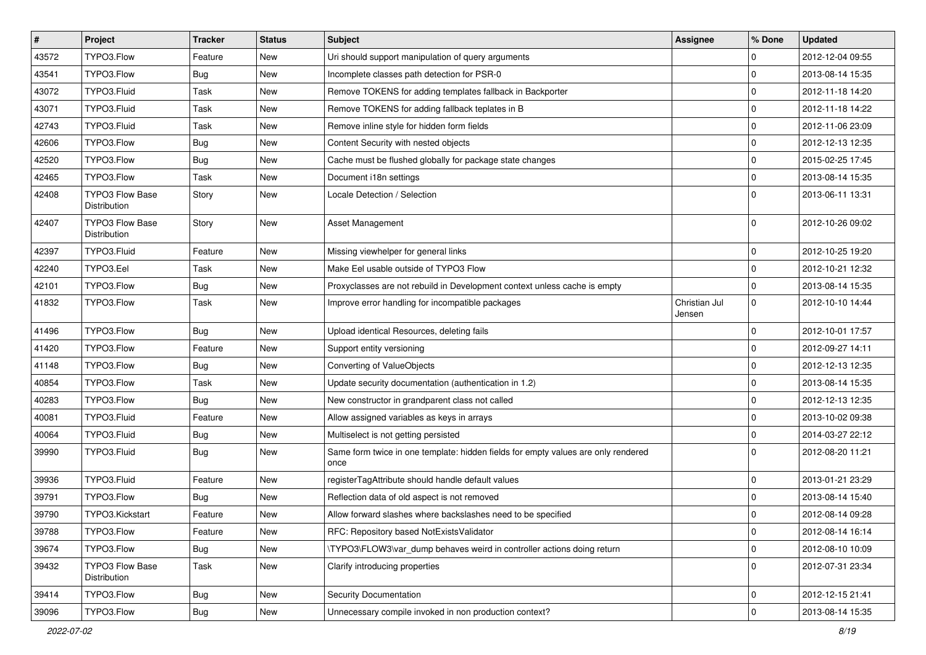| $\pmb{\#}$ | Project                                | <b>Tracker</b> | <b>Status</b> | <b>Subject</b>                                                                            | Assignee                | % Done      | <b>Updated</b>   |
|------------|----------------------------------------|----------------|---------------|-------------------------------------------------------------------------------------------|-------------------------|-------------|------------------|
| 43572      | TYPO3.Flow                             | Feature        | New           | Uri should support manipulation of query arguments                                        |                         | 0           | 2012-12-04 09:55 |
| 43541      | TYPO3.Flow                             | <b>Bug</b>     | <b>New</b>    | Incomplete classes path detection for PSR-0                                               |                         | $\mathbf 0$ | 2013-08-14 15:35 |
| 43072      | TYPO3.Fluid                            | Task           | New           | Remove TOKENS for adding templates fallback in Backporter                                 |                         | $\mathbf 0$ | 2012-11-18 14:20 |
| 43071      | TYPO3.Fluid                            | Task           | New           | Remove TOKENS for adding fallback teplates in B                                           |                         | $\mathbf 0$ | 2012-11-18 14:22 |
| 42743      | TYPO3.Fluid                            | Task           | New           | Remove inline style for hidden form fields                                                |                         | 0           | 2012-11-06 23:09 |
| 42606      | TYPO3.Flow                             | Bug            | New           | Content Security with nested objects                                                      |                         | $\mathbf 0$ | 2012-12-13 12:35 |
| 42520      | TYPO3.Flow                             | Bug            | New           | Cache must be flushed globally for package state changes                                  |                         | $\mathbf 0$ | 2015-02-25 17:45 |
| 42465      | TYPO3.Flow                             | Task           | New           | Document i18n settings                                                                    |                         | 0           | 2013-08-14 15:35 |
| 42408      | TYPO3 Flow Base<br>Distribution        | Story          | New           | Locale Detection / Selection                                                              |                         | $\Omega$    | 2013-06-11 13:31 |
| 42407      | <b>TYPO3 Flow Base</b><br>Distribution | Story          | New           | Asset Management                                                                          |                         | $\mathbf 0$ | 2012-10-26 09:02 |
| 42397      | TYPO3.Fluid                            | Feature        | <b>New</b>    | Missing viewhelper for general links                                                      |                         | 0           | 2012-10-25 19:20 |
| 42240      | TYPO3.Eel                              | Task           | New           | Make Eel usable outside of TYPO3 Flow                                                     |                         | $\mathbf 0$ | 2012-10-21 12:32 |
| 42101      | TYPO3.Flow                             | Bug            | New           | Proxyclasses are not rebuild in Development context unless cache is empty                 |                         | $\mathbf 0$ | 2013-08-14 15:35 |
| 41832      | TYPO3.Flow                             | Task           | New           | Improve error handling for incompatible packages                                          | Christian Jul<br>Jensen | $\mathbf 0$ | 2012-10-10 14:44 |
| 41496      | TYPO3.Flow                             | Bug            | New           | Upload identical Resources, deleting fails                                                |                         | $\mathbf 0$ | 2012-10-01 17:57 |
| 41420      | TYPO3.Flow                             | Feature        | New           | Support entity versioning                                                                 |                         | $\mathbf 0$ | 2012-09-27 14:11 |
| 41148      | TYPO3.Flow                             | Bug            | New           | Converting of ValueObjects                                                                |                         | $\mathbf 0$ | 2012-12-13 12:35 |
| 40854      | TYPO3.Flow                             | Task           | <b>New</b>    | Update security documentation (authentication in 1.2)                                     |                         | $\mathbf 0$ | 2013-08-14 15:35 |
| 40283      | TYPO3.Flow                             | Bug            | New           | New constructor in grandparent class not called                                           |                         | $\mathbf 0$ | 2012-12-13 12:35 |
| 40081      | TYPO3.Fluid                            | Feature        | <b>New</b>    | Allow assigned variables as keys in arrays                                                |                         | $\mathbf 0$ | 2013-10-02 09:38 |
| 40064      | TYPO3.Fluid                            | Bug            | New           | Multiselect is not getting persisted                                                      |                         | $\mathbf 0$ | 2014-03-27 22:12 |
| 39990      | TYPO3.Fluid                            | <b>Bug</b>     | New           | Same form twice in one template: hidden fields for empty values are only rendered<br>once |                         | $\Omega$    | 2012-08-20 11:21 |
| 39936      | TYPO3.Fluid                            | Feature        | <b>New</b>    | registerTagAttribute should handle default values                                         |                         | 0           | 2013-01-21 23:29 |
| 39791      | TYPO3.Flow                             | <b>Bug</b>     | New           | Reflection data of old aspect is not removed                                              |                         | $\mathbf 0$ | 2013-08-14 15:40 |
| 39790      | TYPO3.Kickstart                        | Feature        | New           | Allow forward slashes where backslashes need to be specified                              |                         | $\mathbf 0$ | 2012-08-14 09:28 |
| 39788      | TYPO3.Flow                             | Feature        | New           | RFC: Repository based NotExistsValidator                                                  |                         | 0           | 2012-08-14 16:14 |
| 39674      | TYPO3.Flow                             | <b>Bug</b>     | New           | \TYPO3\FLOW3\var dump behaves weird in controller actions doing return                    |                         | 0           | 2012-08-10 10:09 |
| 39432      | TYPO3 Flow Base<br>Distribution        | Task           | New           | Clarify introducing properties                                                            |                         | $\mathbf 0$ | 2012-07-31 23:34 |
| 39414      | TYPO3.Flow                             | <b>Bug</b>     | New           | <b>Security Documentation</b>                                                             |                         | 0           | 2012-12-15 21:41 |
| 39096      | TYPO3.Flow                             | Bug            | New           | Unnecessary compile invoked in non production context?                                    |                         | $\mathsf 0$ | 2013-08-14 15:35 |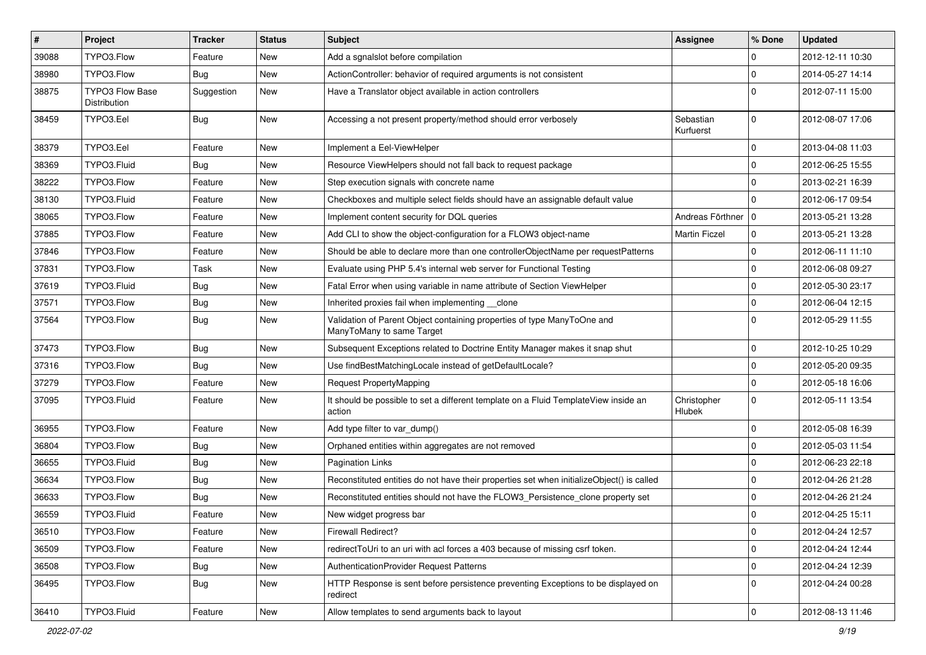| $\pmb{\#}$ | Project                                | <b>Tracker</b> | <b>Status</b> | <b>Subject</b>                                                                                       | Assignee                     | % Done       | <b>Updated</b>   |
|------------|----------------------------------------|----------------|---------------|------------------------------------------------------------------------------------------------------|------------------------------|--------------|------------------|
| 39088      | TYPO3.Flow                             | Feature        | New           | Add a sgnalslot before compilation                                                                   |                              | 0            | 2012-12-11 10:30 |
| 38980      | TYPO3.Flow                             | <b>Bug</b>     | New           | ActionController: behavior of required arguments is not consistent                                   |                              | $\mathbf{0}$ | 2014-05-27 14:14 |
| 38875      | <b>TYPO3 Flow Base</b><br>Distribution | Suggestion     | New           | Have a Translator object available in action controllers                                             |                              | $\Omega$     | 2012-07-11 15:00 |
| 38459      | TYPO3.Eel                              | Bug            | New           | Accessing a not present property/method should error verbosely                                       | Sebastian<br>Kurfuerst       | $\mathbf 0$  | 2012-08-07 17:06 |
| 38379      | TYPO3.Eel                              | Feature        | New           | Implement a Eel-ViewHelper                                                                           |                              | $\mathbf 0$  | 2013-04-08 11:03 |
| 38369      | TYPO3.Fluid                            | Bug            | New           | Resource ViewHelpers should not fall back to request package                                         |                              | 0            | 2012-06-25 15:55 |
| 38222      | TYPO3.Flow                             | Feature        | New           | Step execution signals with concrete name                                                            |                              | $\mathbf 0$  | 2013-02-21 16:39 |
| 38130      | TYPO3.Fluid                            | Feature        | New           | Checkboxes and multiple select fields should have an assignable default value                        |                              | $\Omega$     | 2012-06-17 09:54 |
| 38065      | TYPO3.Flow                             | Feature        | New           | Implement content security for DQL queries                                                           | Andreas Förthner   0         |              | 2013-05-21 13:28 |
| 37885      | TYPO3.Flow                             | Feature        | New           | Add CLI to show the object-configuration for a FLOW3 object-name                                     | <b>Martin Ficzel</b>         | $\mathbf{0}$ | 2013-05-21 13:28 |
| 37846      | TYPO3.Flow                             | Feature        | New           | Should be able to declare more than one controllerObjectName per requestPatterns                     |                              | $\mathbf{0}$ | 2012-06-11 11:10 |
| 37831      | TYPO3.Flow                             | Task           | New           | Evaluate using PHP 5.4's internal web server for Functional Testing                                  |                              | $\Omega$     | 2012-06-08 09:27 |
| 37619      | TYPO3.Fluid                            | <b>Bug</b>     | New           | Fatal Error when using variable in name attribute of Section ViewHelper                              |                              | $\mathbf 0$  | 2012-05-30 23:17 |
| 37571      | TYPO3.Flow                             | Bug            | New           | Inherited proxies fail when implementing clone                                                       |                              | $\mathbf 0$  | 2012-06-04 12:15 |
| 37564      | TYPO3.Flow                             | Bug            | New           | Validation of Parent Object containing properties of type ManyToOne and<br>ManyToMany to same Target |                              | $\Omega$     | 2012-05-29 11:55 |
| 37473      | TYPO3.Flow                             | Bug            | New           | Subsequent Exceptions related to Doctrine Entity Manager makes it snap shut                          |                              | 0            | 2012-10-25 10:29 |
| 37316      | TYPO3.Flow                             | <b>Bug</b>     | New           | Use findBestMatchingLocale instead of getDefaultLocale?                                              |                              | $\mathbf 0$  | 2012-05-20 09:35 |
| 37279      | TYPO3.Flow                             | Feature        | New           | <b>Request PropertyMapping</b>                                                                       |                              | $\mathbf{0}$ | 2012-05-18 16:06 |
| 37095      | TYPO3.Fluid                            | Feature        | New           | It should be possible to set a different template on a Fluid TemplateView inside an<br>action        | Christopher<br><b>Hlubek</b> | $\mathbf 0$  | 2012-05-11 13:54 |
| 36955      | TYPO3.Flow                             | Feature        | New           | Add type filter to var dump()                                                                        |                              | $\mathbf 0$  | 2012-05-08 16:39 |
| 36804      | TYPO3.Flow                             | <b>Bug</b>     | New           | Orphaned entities within aggregates are not removed                                                  |                              | $\mathbf 0$  | 2012-05-03 11:54 |
| 36655      | TYPO3.Fluid                            | Bug            | New           | <b>Pagination Links</b>                                                                              |                              | 0            | 2012-06-23 22:18 |
| 36634      | TYPO3.Flow                             | Bug            | New           | Reconstituted entities do not have their properties set when initializeObject() is called            |                              | $\Omega$     | 2012-04-26 21:28 |
| 36633      | TYPO3.Flow                             | Bug            | New           | Reconstituted entities should not have the FLOW3 Persistence clone property set                      |                              | $\mathbf 0$  | 2012-04-26 21:24 |
| 36559      | TYPO3.Fluid                            | Feature        | New           | New widget progress bar                                                                              |                              | $\mathbf 0$  | 2012-04-25 15:11 |
| 36510      | TYPO3.Flow                             | Feature        | New           | Firewall Redirect?                                                                                   |                              | 0            | 2012-04-24 12:57 |
| 36509      | TYPO3.Flow                             | Feature        | New           | redirectToUri to an uri with acl forces a 403 because of missing csrf token.                         |                              | $\mathbf{0}$ | 2012-04-24 12:44 |
| 36508      | TYPO3.Flow                             | <b>Bug</b>     | New           | AuthenticationProvider Request Patterns                                                              |                              | $\mathbf 0$  | 2012-04-24 12:39 |
| 36495      | TYPO3.Flow                             | <b>Bug</b>     | New           | HTTP Response is sent before persistence preventing Exceptions to be displayed on<br>redirect        |                              | $\mathbf{0}$ | 2012-04-24 00:28 |
| 36410      | TYPO3.Fluid                            | Feature        | New           | Allow templates to send arguments back to layout                                                     |                              | $\mathbf 0$  | 2012-08-13 11:46 |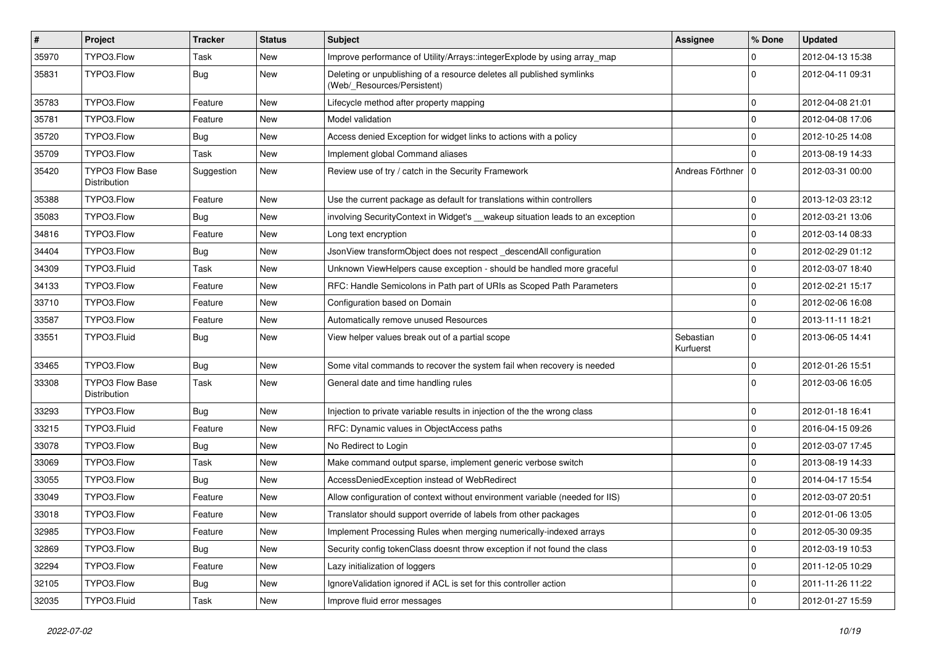| $\vert$ # | Project                                | <b>Tracker</b> | <b>Status</b> | <b>Subject</b>                                                                                       | Assignee               | % Done              | <b>Updated</b>   |
|-----------|----------------------------------------|----------------|---------------|------------------------------------------------------------------------------------------------------|------------------------|---------------------|------------------|
| 35970     | TYPO3.Flow                             | Task           | New           | Improve performance of Utility/Arrays::integerExplode by using array_map                             |                        | 0                   | 2012-04-13 15:38 |
| 35831     | TYPO3.Flow                             | Bug            | New           | Deleting or unpublishing of a resource deletes all published symlinks<br>(Web/_Resources/Persistent) |                        | $\mathbf 0$         | 2012-04-11 09:31 |
| 35783     | TYPO3.Flow                             | Feature        | New           | Lifecycle method after property mapping                                                              |                        | $\Omega$            | 2012-04-08 21:01 |
| 35781     | TYPO3.Flow                             | Feature        | New           | Model validation                                                                                     |                        | $\mathbf 0$         | 2012-04-08 17:06 |
| 35720     | TYPO3.Flow                             | Bug            | New           | Access denied Exception for widget links to actions with a policy                                    |                        | $\mathbf 0$         | 2012-10-25 14:08 |
| 35709     | TYPO3.Flow                             | Task           | New           | Implement global Command aliases                                                                     |                        | $\Omega$            | 2013-08-19 14:33 |
| 35420     | <b>TYPO3 Flow Base</b><br>Distribution | Suggestion     | New           | Review use of try / catch in the Security Framework                                                  | Andreas Förthner   0   |                     | 2012-03-31 00:00 |
| 35388     | TYPO3.Flow                             | Feature        | New           | Use the current package as default for translations within controllers                               |                        | $\mathbf 0$         | 2013-12-03 23:12 |
| 35083     | TYPO3.Flow                             | Bug            | New           | involving SecurityContext in Widget's __wakeup situation leads to an exception                       |                        | 0                   | 2012-03-21 13:06 |
| 34816     | TYPO3.Flow                             | Feature        | New           | Long text encryption                                                                                 |                        | $\mathbf 0$         | 2012-03-14 08:33 |
| 34404     | TYPO3.Flow                             | <b>Bug</b>     | New           | JsonView transformObject does not respect descendAll configuration                                   |                        | $\mathbf 0$         | 2012-02-29 01:12 |
| 34309     | TYPO3.Fluid                            | Task           | New           | Unknown ViewHelpers cause exception - should be handled more graceful                                |                        | $\mathbf 0$         | 2012-03-07 18:40 |
| 34133     | TYPO3.Flow                             | Feature        | New           | RFC: Handle Semicolons in Path part of URIs as Scoped Path Parameters                                |                        | $\mathbf 0$         | 2012-02-21 15:17 |
| 33710     | TYPO3.Flow                             | Feature        | New           | Configuration based on Domain                                                                        |                        | $\mathbf 0$         | 2012-02-06 16:08 |
| 33587     | TYPO3.Flow                             | Feature        | New           | Automatically remove unused Resources                                                                |                        | $\mathbf 0$         | 2013-11-11 18:21 |
| 33551     | TYPO3.Fluid                            | Bug            | New           | View helper values break out of a partial scope                                                      | Sebastian<br>Kurfuerst | $\mathbf 0$         | 2013-06-05 14:41 |
| 33465     | TYPO3.Flow                             | <b>Bug</b>     | New           | Some vital commands to recover the system fail when recovery is needed                               |                        | $\mathbf 0$         | 2012-01-26 15:51 |
| 33308     | TYPO3 Flow Base<br>Distribution        | Task           | New           | General date and time handling rules                                                                 |                        | $\Omega$            | 2012-03-06 16:05 |
| 33293     | TYPO3.Flow                             | Bug            | New           | Injection to private variable results in injection of the the wrong class                            |                        | $\mathbf 0$         | 2012-01-18 16:41 |
| 33215     | TYPO3.Fluid                            | Feature        | New           | RFC: Dynamic values in ObjectAccess paths                                                            |                        | 0                   | 2016-04-15 09:26 |
| 33078     | TYPO3.Flow                             | Bug            | New           | No Redirect to Login                                                                                 |                        | $\mathbf 0$         | 2012-03-07 17:45 |
| 33069     | TYPO3.Flow                             | Task           | New           | Make command output sparse, implement generic verbose switch                                         |                        | $\mathbf 0$         | 2013-08-19 14:33 |
| 33055     | TYPO3.Flow                             | <b>Bug</b>     | New           | AccessDeniedException instead of WebRedirect                                                         |                        | $\mathbf 0$         | 2014-04-17 15:54 |
| 33049     | TYPO3.Flow                             | Feature        | New           | Allow configuration of context without environment variable (needed for IIS)                         |                        | $\mathbf 0$         | 2012-03-07 20:51 |
| 33018     | TYPO3.Flow                             | Feature        | New           | Translator should support override of labels from other packages                                     |                        | $\mathbf 0$         | 2012-01-06 13:05 |
| 32985     | TYPO3.Flow                             | Feature        | New           | Implement Processing Rules when merging numerically-indexed arrays                                   |                        | $\mathsf 0$         | 2012-05-30 09:35 |
| 32869     | TYPO3.Flow                             | <b>Bug</b>     | New           | Security config tokenClass doesnt throw exception if not found the class                             |                        | 0                   | 2012-03-19 10:53 |
| 32294     | TYPO3.Flow                             | Feature        | New           | Lazy initialization of loggers                                                                       |                        | 0                   | 2011-12-05 10:29 |
| 32105     | TYPO3.Flow                             | <b>Bug</b>     | New           | IgnoreValidation ignored if ACL is set for this controller action                                    |                        | 0                   | 2011-11-26 11:22 |
| 32035     | TYPO3.Fluid                            | Task           | New           | Improve fluid error messages                                                                         |                        | $\mathsf{O}\xspace$ | 2012-01-27 15:59 |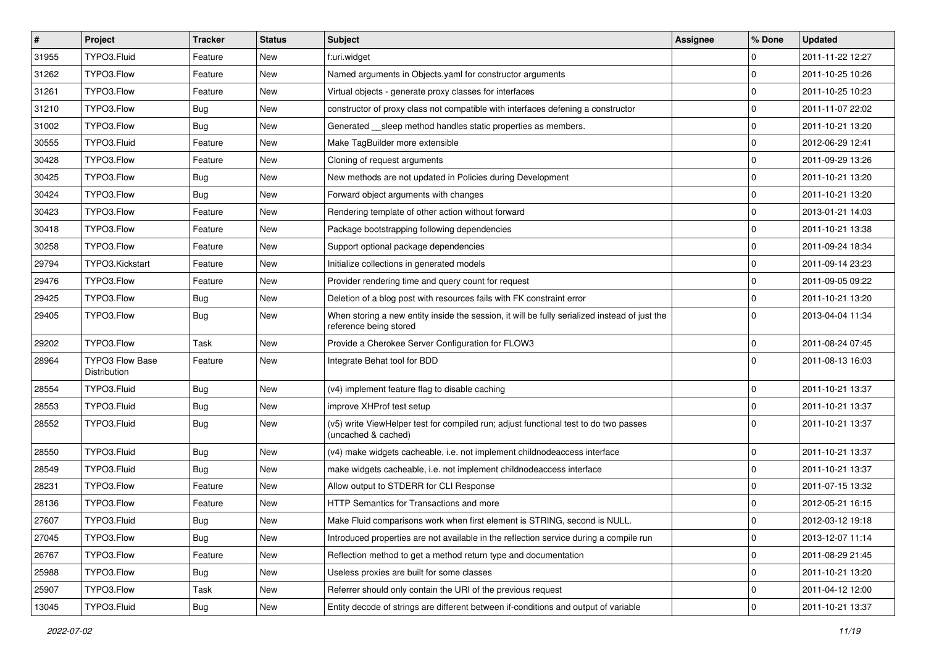| $\sharp$ | Project                         | <b>Tracker</b> | <b>Status</b> | Subject                                                                                                                 | <b>Assignee</b> | % Done      | <b>Updated</b>   |
|----------|---------------------------------|----------------|---------------|-------------------------------------------------------------------------------------------------------------------------|-----------------|-------------|------------------|
| 31955    | TYPO3.Fluid                     | Feature        | New           | f:uri.widget                                                                                                            |                 | 0           | 2011-11-22 12:27 |
| 31262    | TYPO3.Flow                      | Feature        | New           | Named arguments in Objects.yaml for constructor arguments                                                               |                 | $\mathbf 0$ | 2011-10-25 10:26 |
| 31261    | TYPO3.Flow                      | Feature        | New           | Virtual objects - generate proxy classes for interfaces                                                                 |                 | $\mathbf 0$ | 2011-10-25 10:23 |
| 31210    | TYPO3.Flow                      | <b>Bug</b>     | New           | constructor of proxy class not compatible with interfaces defening a constructor                                        |                 | $\mathbf 0$ | 2011-11-07 22:02 |
| 31002    | TYPO3.Flow                      | Bug            | New           | Generated __sleep method handles static properties as members.                                                          |                 | $\mathbf 0$ | 2011-10-21 13:20 |
| 30555    | TYPO3.Fluid                     | Feature        | New           | Make TagBuilder more extensible                                                                                         |                 | $\mathbf 0$ | 2012-06-29 12:41 |
| 30428    | TYPO3.Flow                      | Feature        | New           | Cloning of request arguments                                                                                            |                 | $\mathbf 0$ | 2011-09-29 13:26 |
| 30425    | TYPO3.Flow                      | Bug            | New           | New methods are not updated in Policies during Development                                                              |                 | $\mathbf 0$ | 2011-10-21 13:20 |
| 30424    | TYPO3.Flow                      | <b>Bug</b>     | New           | Forward object arguments with changes                                                                                   |                 | $\mathbf 0$ | 2011-10-21 13:20 |
| 30423    | TYPO3.Flow                      | Feature        | New           | Rendering template of other action without forward                                                                      |                 | $\mathbf 0$ | 2013-01-21 14:03 |
| 30418    | TYPO3.Flow                      | Feature        | New           | Package bootstrapping following dependencies                                                                            |                 | $\mathbf 0$ | 2011-10-21 13:38 |
| 30258    | TYPO3.Flow                      | Feature        | New           | Support optional package dependencies                                                                                   |                 | $\mathbf 0$ | 2011-09-24 18:34 |
| 29794    | TYPO3.Kickstart                 | Feature        | New           | Initialize collections in generated models                                                                              |                 | $\mathbf 0$ | 2011-09-14 23:23 |
| 29476    | TYPO3.Flow                      | Feature        | New           | Provider rendering time and query count for request                                                                     |                 | $\mathbf 0$ | 2011-09-05 09:22 |
| 29425    | TYPO3.Flow                      | Bug            | New           | Deletion of a blog post with resources fails with FK constraint error                                                   |                 | $\mathbf 0$ | 2011-10-21 13:20 |
| 29405    | TYPO3.Flow                      | Bug            | New           | When storing a new entity inside the session, it will be fully serialized instead of just the<br>reference being stored |                 | $\Omega$    | 2013-04-04 11:34 |
| 29202    | TYPO3.Flow                      | Task           | New           | Provide a Cherokee Server Configuration for FLOW3                                                                       |                 | $\mathbf 0$ | 2011-08-24 07:45 |
| 28964    | TYPO3 Flow Base<br>Distribution | Feature        | New           | Integrate Behat tool for BDD                                                                                            |                 | $\Omega$    | 2011-08-13 16:03 |
| 28554    | TYPO3.Fluid                     | <b>Bug</b>     | New           | (v4) implement feature flag to disable caching                                                                          |                 | 0           | 2011-10-21 13:37 |
| 28553    | TYPO3.Fluid                     | <b>Bug</b>     | New           | improve XHProf test setup                                                                                               |                 | $\mathbf 0$ | 2011-10-21 13:37 |
| 28552    | TYPO3.Fluid                     | Bug            | New           | (v5) write ViewHelper test for compiled run; adjust functional test to do two passes<br>(uncached & cached)             |                 | $\Omega$    | 2011-10-21 13:37 |
| 28550    | TYPO3.Fluid                     | <b>Bug</b>     | New           | (v4) make widgets cacheable, i.e. not implement childnodeaccess interface                                               |                 | $\mathbf 0$ | 2011-10-21 13:37 |
| 28549    | TYPO3.Fluid                     | Bug            | New           | make widgets cacheable, i.e. not implement childnodeaccess interface                                                    |                 | $\mathbf 0$ | 2011-10-21 13:37 |
| 28231    | TYPO3.Flow                      | Feature        | New           | Allow output to STDERR for CLI Response                                                                                 |                 | $\Omega$    | 2011-07-15 13:32 |
| 28136    | TYPO3.Flow                      | Feature        | New           | HTTP Semantics for Transactions and more                                                                                |                 | $\mathbf 0$ | 2012-05-21 16:15 |
| 27607    | TYPO3.Fluid                     | Bug            | New           | Make Fluid comparisons work when first element is STRING, second is NULL                                                |                 | $\Omega$    | 2012-03-12 19:18 |
| 27045    | TYPO3.Flow                      | <b>Bug</b>     | New           | Introduced properties are not available in the reflection service during a compile run                                  |                 | $\mathbf 0$ | 2013-12-07 11:14 |
| 26767    | TYPO3.Flow                      | Feature        | New           | Reflection method to get a method return type and documentation                                                         |                 | 0           | 2011-08-29 21:45 |
| 25988    | TYPO3.Flow                      | <b>Bug</b>     | New           | Useless proxies are built for some classes                                                                              |                 | $\mathbf 0$ | 2011-10-21 13:20 |
| 25907    | TYPO3.Flow                      | Task           | New           | Referrer should only contain the URI of the previous request                                                            |                 | $\mathbf 0$ | 2011-04-12 12:00 |
| 13045    | TYPO3.Fluid                     | Bug            | New           | Entity decode of strings are different between if-conditions and output of variable                                     |                 | $\mathbf 0$ | 2011-10-21 13:37 |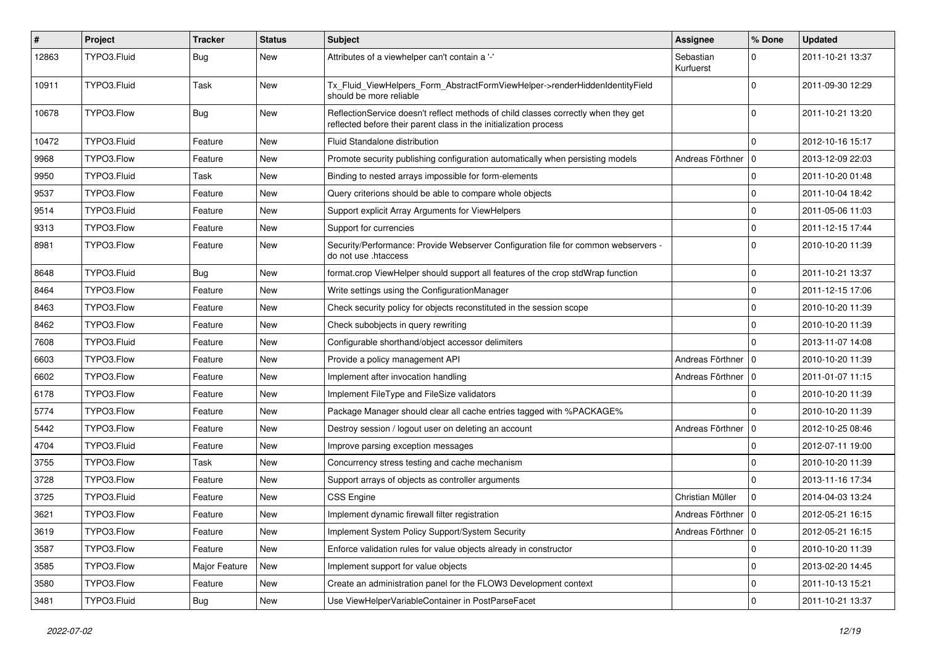| #     | Project     | <b>Tracker</b> | <b>Status</b> | <b>Subject</b>                                                                                                                                          | <b>Assignee</b>        | % Done       | <b>Updated</b>   |
|-------|-------------|----------------|---------------|---------------------------------------------------------------------------------------------------------------------------------------------------------|------------------------|--------------|------------------|
| 12863 | TYPO3.Fluid | <b>Bug</b>     | New           | Attributes of a viewhelper can't contain a '-'                                                                                                          | Sebastian<br>Kurfuerst | 0            | 2011-10-21 13:37 |
| 10911 | TYPO3.Fluid | Task           | <b>New</b>    | Tx_Fluid_ViewHelpers_Form_AbstractFormViewHelper->renderHiddenIdentityField<br>should be more reliable                                                  |                        | $\Omega$     | 2011-09-30 12:29 |
| 10678 | TYPO3.Flow  | <b>Bug</b>     | <b>New</b>    | ReflectionService doesn't reflect methods of child classes correctly when they get<br>reflected before their parent class in the initialization process |                        | 0            | 2011-10-21 13:20 |
| 10472 | TYPO3.Fluid | Feature        | <b>New</b>    | Fluid Standalone distribution                                                                                                                           |                        | $\Omega$     | 2012-10-16 15:17 |
| 9968  | TYPO3.Flow  | Feature        | New           | Promote security publishing configuration automatically when persisting models                                                                          | Andreas Förthner   0   |              | 2013-12-09 22:03 |
| 9950  | TYPO3.Fluid | Task           | New           | Binding to nested arrays impossible for form-elements                                                                                                   |                        | $\mathbf 0$  | 2011-10-20 01:48 |
| 9537  | TYPO3.Flow  | Feature        | <b>New</b>    | Query criterions should be able to compare whole objects                                                                                                |                        | 0            | 2011-10-04 18:42 |
| 9514  | TYPO3.Fluid | Feature        | New           | Support explicit Array Arguments for ViewHelpers                                                                                                        |                        | $\mathbf 0$  | 2011-05-06 11:03 |
| 9313  | TYPO3.Flow  | Feature        | New           | Support for currencies                                                                                                                                  |                        | $\mathbf{0}$ | 2011-12-15 17:44 |
| 8981  | TYPO3.Flow  | Feature        | <b>New</b>    | Security/Performance: Provide Webserver Configuration file for common webservers -<br>do not use .htaccess                                              |                        | $\Omega$     | 2010-10-20 11:39 |
| 8648  | TYPO3.Fluid | <b>Bug</b>     | <b>New</b>    | format.crop ViewHelper should support all features of the crop stdWrap function                                                                         |                        | 0            | 2011-10-21 13:37 |
| 8464  | TYPO3.Flow  | Feature        | New           | Write settings using the ConfigurationManager                                                                                                           |                        | $\mathbf 0$  | 2011-12-15 17:06 |
| 8463  | TYPO3.Flow  | Feature        | New           | Check security policy for objects reconstituted in the session scope                                                                                    |                        | 0            | 2010-10-20 11:39 |
| 8462  | TYPO3.Flow  | Feature        | <b>New</b>    | Check subobjects in query rewriting                                                                                                                     |                        | $\mathbf 0$  | 2010-10-20 11:39 |
| 7608  | TYPO3.Fluid | Feature        | New           | Configurable shorthand/object accessor delimiters                                                                                                       |                        | $\Omega$     | 2013-11-07 14:08 |
| 6603  | TYPO3.Flow  | Feature        | New           | Provide a policy management API                                                                                                                         | Andreas Förthner       | l 0          | 2010-10-20 11:39 |
| 6602  | TYPO3.Flow  | Feature        | New           | Implement after invocation handling                                                                                                                     | Andreas Förthner   0   |              | 2011-01-07 11:15 |
| 6178  | TYPO3.Flow  | Feature        | New           | Implement FileType and FileSize validators                                                                                                              |                        | $\Omega$     | 2010-10-20 11:39 |
| 5774  | TYPO3.Flow  | Feature        | New           | Package Manager should clear all cache entries tagged with %PACKAGE%                                                                                    |                        | 0            | 2010-10-20 11:39 |
| 5442  | TYPO3.Flow  | Feature        | New           | Destroy session / logout user on deleting an account                                                                                                    | Andreas Förthner       | 0            | 2012-10-25 08:46 |
| 4704  | TYPO3.Fluid | Feature        | New           | Improve parsing exception messages                                                                                                                      |                        | $\mathbf 0$  | 2012-07-11 19:00 |
| 3755  | TYPO3.Flow  | Task           | New           | Concurrency stress testing and cache mechanism                                                                                                          |                        | $\Omega$     | 2010-10-20 11:39 |
| 3728  | TYPO3.Flow  | Feature        | New           | Support arrays of objects as controller arguments                                                                                                       |                        | $\Omega$     | 2013-11-16 17:34 |
| 3725  | TYPO3.Fluid | Feature        | New           | <b>CSS Engine</b>                                                                                                                                       | Christian Müller       | $\Omega$     | 2014-04-03 13:24 |
| 3621  | TYPO3.Flow  | Feature        | New           | Implement dynamic firewall filter registration                                                                                                          | Andreas Förthner   0   |              | 2012-05-21 16:15 |
| 3619  | TYPO3.Flow  | Feature        | New           | Implement System Policy Support/System Security                                                                                                         | Andreas Förthner   0   |              | 2012-05-21 16:15 |
| 3587  | TYPO3.Flow  | Feature        | New           | Enforce validation rules for value objects already in constructor                                                                                       |                        | 0            | 2010-10-20 11:39 |
| 3585  | TYPO3.Flow  | Major Feature  | New           | Implement support for value objects                                                                                                                     |                        | $\mathbf 0$  | 2013-02-20 14:45 |
| 3580  | TYPO3.Flow  | Feature        | New           | Create an administration panel for the FLOW3 Development context                                                                                        |                        | $\mathbf 0$  | 2011-10-13 15:21 |
| 3481  | TYPO3.Fluid | <b>Bug</b>     | New           | Use ViewHelperVariableContainer in PostParseFacet                                                                                                       |                        | $\mathbf 0$  | 2011-10-21 13:37 |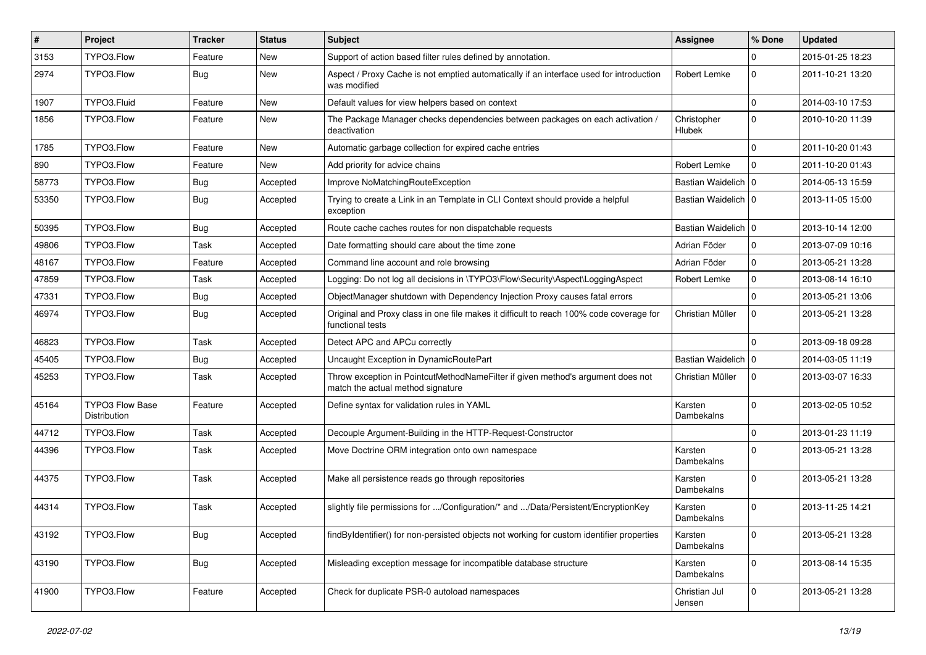| #     | Project                                | <b>Tracker</b> | <b>Status</b> | Subject                                                                                                              | Assignee                     | % Done       | <b>Updated</b>   |
|-------|----------------------------------------|----------------|---------------|----------------------------------------------------------------------------------------------------------------------|------------------------------|--------------|------------------|
| 3153  | TYPO3.Flow                             | Feature        | New           | Support of action based filter rules defined by annotation.                                                          |                              | $\Omega$     | 2015-01-25 18:23 |
| 2974  | TYPO3.Flow                             | Bug            | New           | Aspect / Proxy Cache is not emptied automatically if an interface used for introduction<br>was modified              | Robert Lemke                 | 0            | 2011-10-21 13:20 |
| 1907  | TYPO3.Fluid                            | Feature        | New           | Default values for view helpers based on context                                                                     |                              | 0            | 2014-03-10 17:53 |
| 1856  | TYPO3.Flow                             | Feature        | New           | The Package Manager checks dependencies between packages on each activation /<br>deactivation                        | Christopher<br><b>Hlubek</b> | $\Omega$     | 2010-10-20 11:39 |
| 1785  | TYPO3.Flow                             | Feature        | New           | Automatic garbage collection for expired cache entries                                                               |                              | $\Omega$     | 2011-10-20 01:43 |
| 890   | TYPO3.Flow                             | Feature        | New           | Add priority for advice chains                                                                                       | Robert Lemke                 | $\mathbf{0}$ | 2011-10-20 01:43 |
| 58773 | TYPO3.Flow                             | <b>Bug</b>     | Accepted      | Improve NoMatchingRouteException                                                                                     | Bastian Waidelich   0        |              | 2014-05-13 15:59 |
| 53350 | TYPO3.Flow                             | <b>Bug</b>     | Accepted      | Trying to create a Link in an Template in CLI Context should provide a helpful<br>exception                          | Bastian Waidelich   0        |              | 2013-11-05 15:00 |
| 50395 | TYPO3.Flow                             | <b>Bug</b>     | Accepted      | Route cache caches routes for non dispatchable requests                                                              | Bastian Waidelich   0        |              | 2013-10-14 12:00 |
| 49806 | TYPO3.Flow                             | Task           | Accepted      | Date formatting should care about the time zone                                                                      | Adrian Föder                 | $\mathbf 0$  | 2013-07-09 10:16 |
| 48167 | TYPO3.Flow                             | Feature        | Accepted      | Command line account and role browsing                                                                               | Adrian Föder                 | 0            | 2013-05-21 13:28 |
| 47859 | TYPO3.Flow                             | Task           | Accepted      | Logging: Do not log all decisions in \TYPO3\Flow\Security\Aspect\LoggingAspect                                       | Robert Lemke                 | $\mathbf 0$  | 2013-08-14 16:10 |
| 47331 | TYPO3.Flow                             | <b>Bug</b>     | Accepted      | ObjectManager shutdown with Dependency Injection Proxy causes fatal errors                                           |                              | $\mathbf 0$  | 2013-05-21 13:06 |
| 46974 | TYPO3.Flow                             | <b>Bug</b>     | Accepted      | Original and Proxy class in one file makes it difficult to reach 100% code coverage for<br>functional tests          | Christian Müller             | 0            | 2013-05-21 13:28 |
| 46823 | TYPO3.Flow                             | Task           | Accepted      | Detect APC and APCu correctly                                                                                        |                              | $\Omega$     | 2013-09-18 09:28 |
| 45405 | TYPO3.Flow                             | <b>Bug</b>     | Accepted      | Uncaught Exception in DynamicRoutePart                                                                               | Bastian Waidelich   0        |              | 2014-03-05 11:19 |
| 45253 | TYPO3.Flow                             | Task           | Accepted      | Throw exception in PointcutMethodNameFilter if given method's argument does not<br>match the actual method signature | Christian Müller             | 0            | 2013-03-07 16:33 |
| 45164 | <b>TYPO3 Flow Base</b><br>Distribution | Feature        | Accepted      | Define syntax for validation rules in YAML                                                                           | Karsten<br>Dambekalns        | $\Omega$     | 2013-02-05 10:52 |
| 44712 | TYPO3.Flow                             | Task           | Accepted      | Decouple Argument-Building in the HTTP-Request-Constructor                                                           |                              | $\Omega$     | 2013-01-23 11:19 |
| 44396 | TYPO3.Flow                             | Task           | Accepted      | Move Doctrine ORM integration onto own namespace                                                                     | Karsten<br>Dambekalns        | $\Omega$     | 2013-05-21 13:28 |
| 44375 | TYPO3.Flow                             | Task           | Accepted      | Make all persistence reads go through repositories                                                                   | Karsten<br>Dambekalns        | $\Omega$     | 2013-05-21 13:28 |
| 44314 | TYPO3.Flow                             | Task           | Accepted      | slightly file permissions for /Configuration/* and /Data/Persistent/EncryptionKey                                    | Karsten<br>Dambekalns        | $\Omega$     | 2013-11-25 14:21 |
| 43192 | TYPO3.Flow                             | <b>Bug</b>     | Accepted      | findByIdentifier() for non-persisted objects not working for custom identifier properties                            | Karsten<br>Dambekalns        | $\mathbf 0$  | 2013-05-21 13:28 |
| 43190 | TYPO3.Flow                             | <b>Bug</b>     | Accepted      | Misleading exception message for incompatible database structure                                                     | Karsten<br>Dambekalns        | $\mathbf 0$  | 2013-08-14 15:35 |
| 41900 | TYPO3.Flow                             | Feature        | Accepted      | Check for duplicate PSR-0 autoload namespaces                                                                        | Christian Jul<br>Jensen      | 0            | 2013-05-21 13:28 |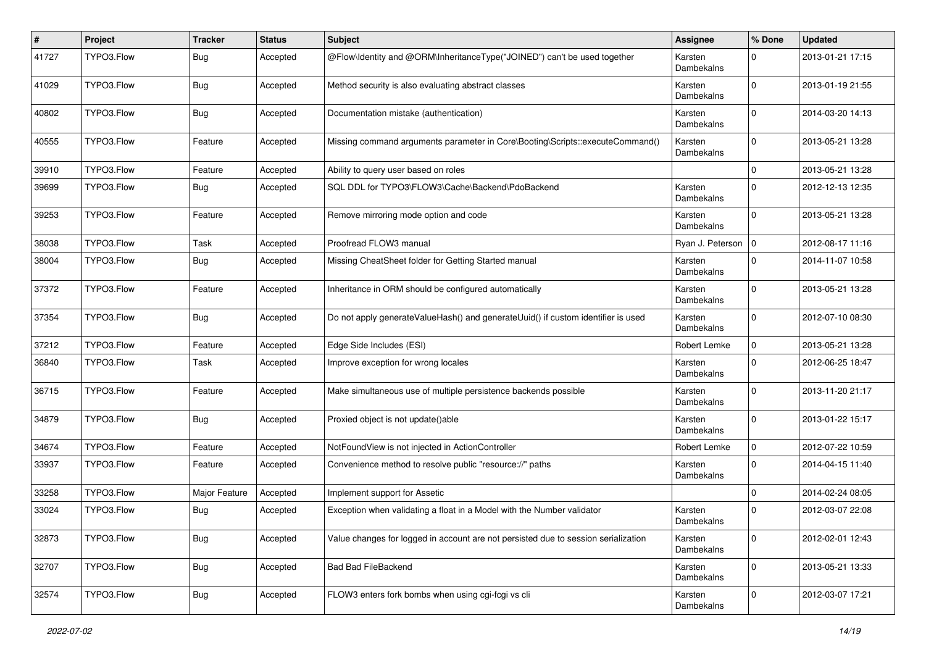| #     | Project    | <b>Tracker</b> | <b>Status</b> | <b>Subject</b>                                                                     | <b>Assignee</b>       | % Done       | <b>Updated</b>   |
|-------|------------|----------------|---------------|------------------------------------------------------------------------------------|-----------------------|--------------|------------------|
| 41727 | TYPO3.Flow | Bug            | Accepted      | @Flow\Identity and @ORM\InheritanceType("JOINED") can't be used together           | Karsten<br>Dambekalns | $\Omega$     | 2013-01-21 17:15 |
| 41029 | TYPO3.Flow | Bug            | Accepted      | Method security is also evaluating abstract classes                                | Karsten<br>Dambekalns | $\Omega$     | 2013-01-19 21:55 |
| 40802 | TYPO3.Flow | Bug            | Accepted      | Documentation mistake (authentication)                                             | Karsten<br>Dambekalns | $\mathbf 0$  | 2014-03-20 14:13 |
| 40555 | TYPO3.Flow | Feature        | Accepted      | Missing command arguments parameter in Core\Booting\Scripts::executeCommand()      | Karsten<br>Dambekalns | $\Omega$     | 2013-05-21 13:28 |
| 39910 | TYPO3.Flow | Feature        | Accepted      | Ability to query user based on roles                                               |                       | $\Omega$     | 2013-05-21 13:28 |
| 39699 | TYPO3.Flow | <b>Bug</b>     | Accepted      | SQL DDL for TYPO3\FLOW3\Cache\Backend\PdoBackend                                   | Karsten<br>Dambekalns | $\Omega$     | 2012-12-13 12:35 |
| 39253 | TYPO3.Flow | Feature        | Accepted      | Remove mirroring mode option and code                                              | Karsten<br>Dambekalns | 0            | 2013-05-21 13:28 |
| 38038 | TYPO3.Flow | Task           | Accepted      | Proofread FLOW3 manual                                                             | Ryan J. Peterson   0  |              | 2012-08-17 11:16 |
| 38004 | TYPO3.Flow | Bug            | Accepted      | Missing CheatSheet folder for Getting Started manual                               | Karsten<br>Dambekalns | $\Omega$     | 2014-11-07 10:58 |
| 37372 | TYPO3.Flow | Feature        | Accepted      | Inheritance in ORM should be configured automatically                              | Karsten<br>Dambekalns | $\Omega$     | 2013-05-21 13:28 |
| 37354 | TYPO3.Flow | <b>Bug</b>     | Accepted      | Do not apply generateValueHash() and generateUuid() if custom identifier is used   | Karsten<br>Dambekalns | $\Omega$     | 2012-07-10 08:30 |
| 37212 | TYPO3.Flow | Feature        | Accepted      | Edge Side Includes (ESI)                                                           | Robert Lemke          | $\mathbf{0}$ | 2013-05-21 13:28 |
| 36840 | TYPO3.Flow | Task           | Accepted      | Improve exception for wrong locales                                                | Karsten<br>Dambekalns | $\mathbf{0}$ | 2012-06-25 18:47 |
| 36715 | TYPO3.Flow | Feature        | Accepted      | Make simultaneous use of multiple persistence backends possible                    | Karsten<br>Dambekalns | $\mathbf 0$  | 2013-11-20 21:17 |
| 34879 | TYPO3.Flow | Bug            | Accepted      | Proxied object is not update()able                                                 | Karsten<br>Dambekalns | $\Omega$     | 2013-01-22 15:17 |
| 34674 | TYPO3.Flow | Feature        | Accepted      | NotFoundView is not injected in ActionController                                   | Robert Lemke          | 0            | 2012-07-22 10:59 |
| 33937 | TYPO3.Flow | Feature        | Accepted      | Convenience method to resolve public "resource://" paths                           | Karsten<br>Dambekalns | $\Omega$     | 2014-04-15 11:40 |
| 33258 | TYPO3.Flow | Major Feature  | Accepted      | Implement support for Assetic                                                      |                       | $\Omega$     | 2014-02-24 08:05 |
| 33024 | TYPO3.Flow | <b>Bug</b>     | Accepted      | Exception when validating a float in a Model with the Number validator             | Karsten<br>Dambekalns | $\Omega$     | 2012-03-07 22:08 |
| 32873 | TYPO3.Flow | <b>Bug</b>     | Accepted      | Value changes for logged in account are not persisted due to session serialization | Karsten<br>Dambekalns | $\mathbf{0}$ | 2012-02-01 12:43 |
| 32707 | TYPO3.Flow | Bug            | Accepted      | <b>Bad Bad FileBackend</b>                                                         | Karsten<br>Dambekalns | $\mathbf 0$  | 2013-05-21 13:33 |
| 32574 | TYPO3.Flow | Bug            | Accepted      | FLOW3 enters fork bombs when using cgi-fcgi vs cli                                 | Karsten<br>Dambekalns | 0            | 2012-03-07 17:21 |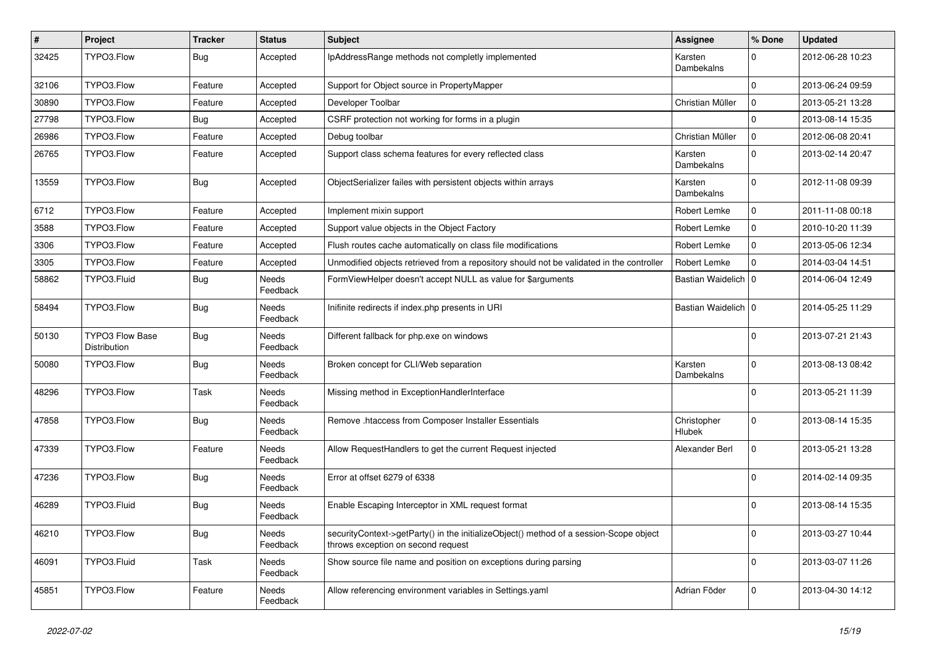| #     | Project                                | <b>Tracker</b> | <b>Status</b>            | <b>Subject</b>                                                                                                               | Assignee              | % Done       | <b>Updated</b>   |
|-------|----------------------------------------|----------------|--------------------------|------------------------------------------------------------------------------------------------------------------------------|-----------------------|--------------|------------------|
| 32425 | TYPO3.Flow                             | <b>Bug</b>     | Accepted                 | IpAddressRange methods not completly implemented                                                                             | Karsten<br>Dambekalns | $\Omega$     | 2012-06-28 10:23 |
| 32106 | TYPO3.Flow                             | Feature        | Accepted                 | Support for Object source in PropertyMapper                                                                                  |                       | $\Omega$     | 2013-06-24 09:59 |
| 30890 | TYPO3.Flow                             | Feature        | Accepted                 | Developer Toolbar                                                                                                            | Christian Müller      | $\mathbf 0$  | 2013-05-21 13:28 |
| 27798 | TYPO3.Flow                             | Bug            | Accepted                 | CSRF protection not working for forms in a plugin                                                                            |                       | $\Omega$     | 2013-08-14 15:35 |
| 26986 | TYPO3.Flow                             | Feature        | Accepted                 | Debug toolbar                                                                                                                | Christian Müller      | 0            | 2012-06-08 20:41 |
| 26765 | TYPO3.Flow                             | Feature        | Accepted                 | Support class schema features for every reflected class                                                                      | Karsten<br>Dambekalns | $\Omega$     | 2013-02-14 20:47 |
| 13559 | TYPO3.Flow                             | <b>Bug</b>     | Accepted                 | ObjectSerializer failes with persistent objects within arrays                                                                | Karsten<br>Dambekalns | $\Omega$     | 2012-11-08 09:39 |
| 6712  | TYPO3.Flow                             | Feature        | Accepted                 | Implement mixin support                                                                                                      | Robert Lemke          | 0            | 2011-11-08 00:18 |
| 3588  | TYPO3.Flow                             | Feature        | Accepted                 | Support value objects in the Object Factory                                                                                  | Robert Lemke          | $\mathbf{0}$ | 2010-10-20 11:39 |
| 3306  | TYPO3.Flow                             | Feature        | Accepted                 | Flush routes cache automatically on class file modifications                                                                 | Robert Lemke          | $\mathbf{0}$ | 2013-05-06 12:34 |
| 3305  | TYPO3.Flow                             | Feature        | Accepted                 | Unmodified objects retrieved from a repository should not be validated in the controller                                     | Robert Lemke          | $\Omega$     | 2014-03-04 14:51 |
| 58862 | TYPO3.Fluid                            | <b>Bug</b>     | <b>Needs</b><br>Feedback | FormViewHelper doesn't accept NULL as value for \$arguments                                                                  | Bastian Waidelich   0 |              | 2014-06-04 12:49 |
| 58494 | TYPO3.Flow                             | Bug            | <b>Needs</b><br>Feedback | Inifinite redirects if index.php presents in URI                                                                             | Bastian Waidelich   0 |              | 2014-05-25 11:29 |
| 50130 | <b>TYPO3 Flow Base</b><br>Distribution | <b>Bug</b>     | Needs<br>Feedback        | Different fallback for php.exe on windows                                                                                    |                       | $\Omega$     | 2013-07-21 21:43 |
| 50080 | TYPO3.Flow                             | <b>Bug</b>     | Needs<br>Feedback        | Broken concept for CLI/Web separation                                                                                        | Karsten<br>Dambekalns | $\Omega$     | 2013-08-13 08:42 |
| 48296 | TYPO3.Flow                             | Task           | Needs<br>Feedback        | Missing method in ExceptionHandlerInterface                                                                                  |                       | $\Omega$     | 2013-05-21 11:39 |
| 47858 | TYPO3.Flow                             | <b>Bug</b>     | Needs<br>Feedback        | Remove .htaccess from Composer Installer Essentials                                                                          | Christopher<br>Hlubek | 0            | 2013-08-14 15:35 |
| 47339 | TYPO3.Flow                             | Feature        | Needs<br>Feedback        | Allow RequestHandlers to get the current Request injected                                                                    | Alexander Berl        | 0            | 2013-05-21 13:28 |
| 47236 | TYPO3.Flow                             | Bug            | <b>Needs</b><br>Feedback | Error at offset 6279 of 6338                                                                                                 |                       | 0            | 2014-02-14 09:35 |
| 46289 | TYPO3.Fluid                            | <b>Bug</b>     | Needs<br>Feedback        | Enable Escaping Interceptor in XML request format                                                                            |                       | 0            | 2013-08-14 15:35 |
| 46210 | TYPO3.Flow                             | <b>Bug</b>     | Needs<br>Feedback        | securityContext->getParty() in the initializeObject() method of a session-Scope object<br>throws exception on second request |                       | $\mathbf 0$  | 2013-03-27 10:44 |
| 46091 | TYPO3.Fluid                            | Task           | Needs<br>Feedback        | Show source file name and position on exceptions during parsing                                                              |                       | $\mathbf 0$  | 2013-03-07 11:26 |
| 45851 | TYPO3.Flow                             | Feature        | Needs<br>Feedback        | Allow referencing environment variables in Settings.yaml                                                                     | Adrian Föder          | $\mathbf 0$  | 2013-04-30 14:12 |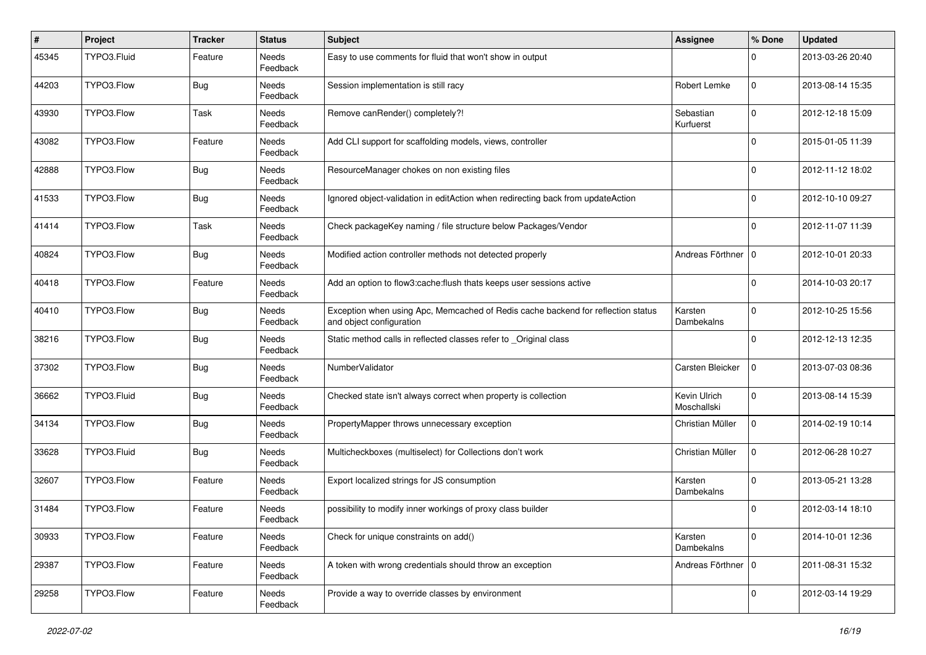| #     | Project     | <b>Tracker</b> | <b>Status</b>            | Subject                                                                                                      | Assignee                    | % Done      | <b>Updated</b>   |
|-------|-------------|----------------|--------------------------|--------------------------------------------------------------------------------------------------------------|-----------------------------|-------------|------------------|
| 45345 | TYPO3.Fluid | Feature        | <b>Needs</b><br>Feedback | Easy to use comments for fluid that won't show in output                                                     |                             | 0           | 2013-03-26 20:40 |
| 44203 | TYPO3.Flow  | Bug            | Needs<br>Feedback        | Session implementation is still racy                                                                         | Robert Lemke                | $\mathbf 0$ | 2013-08-14 15:35 |
| 43930 | TYPO3.Flow  | Task           | Needs<br>Feedback        | Remove canRender() completely?!                                                                              | Sebastian<br>Kurfuerst      | $\mathbf 0$ | 2012-12-18 15:09 |
| 43082 | TYPO3.Flow  | Feature        | Needs<br>Feedback        | Add CLI support for scaffolding models, views, controller                                                    |                             | $\Omega$    | 2015-01-05 11:39 |
| 42888 | TYPO3.Flow  | <b>Bug</b>     | Needs<br>Feedback        | ResourceManager chokes on non existing files                                                                 |                             | 0           | 2012-11-12 18:02 |
| 41533 | TYPO3.Flow  | <b>Bug</b>     | Needs<br>Feedback        | Ignored object-validation in editAction when redirecting back from updateAction                              |                             | $\mathbf 0$ | 2012-10-10 09:27 |
| 41414 | TYPO3.Flow  | Task           | <b>Needs</b><br>Feedback | Check packageKey naming / file structure below Packages/Vendor                                               |                             | 0           | 2012-11-07 11:39 |
| 40824 | TYPO3.Flow  | Bug            | Needs<br>Feedback        | Modified action controller methods not detected properly                                                     | Andreas Förthner   0        |             | 2012-10-01 20:33 |
| 40418 | TYPO3.Flow  | Feature        | Needs<br>Feedback        | Add an option to flow3:cache: flush thats keeps user sessions active                                         |                             | 0           | 2014-10-03 20:17 |
| 40410 | TYPO3.Flow  | Bug            | <b>Needs</b><br>Feedback | Exception when using Apc, Memcached of Redis cache backend for reflection status<br>and object configuration | Karsten<br>Dambekalns       | $\mathbf 0$ | 2012-10-25 15:56 |
| 38216 | TYPO3.Flow  | <b>Bug</b>     | <b>Needs</b><br>Feedback | Static method calls in reflected classes refer to Original class                                             |                             | $\Omega$    | 2012-12-13 12:35 |
| 37302 | TYPO3.Flow  | <b>Bug</b>     | Needs<br>Feedback        | NumberValidator                                                                                              | Carsten Bleicker            | $\mathbf 0$ | 2013-07-03 08:36 |
| 36662 | TYPO3.Fluid | <b>Bug</b>     | Needs<br>Feedback        | Checked state isn't always correct when property is collection                                               | Kevin Ulrich<br>Moschallski | $\mathbf 0$ | 2013-08-14 15:39 |
| 34134 | TYPO3.Flow  | Bug            | <b>Needs</b><br>Feedback | PropertyMapper throws unnecessary exception                                                                  | Christian Müller            | $\mathbf 0$ | 2014-02-19 10:14 |
| 33628 | TYPO3.Fluid | Bug            | Needs<br>Feedback        | Multicheckboxes (multiselect) for Collections don't work                                                     | Christian Müller            | $\mathbf 0$ | 2012-06-28 10:27 |
| 32607 | TYPO3.Flow  | Feature        | Needs<br>Feedback        | Export localized strings for JS consumption                                                                  | Karsten<br>Dambekalns       | $\mathbf 0$ | 2013-05-21 13:28 |
| 31484 | TYPO3.Flow  | Feature        | Needs<br>Feedback        | possibility to modify inner workings of proxy class builder                                                  |                             | 0           | 2012-03-14 18:10 |
| 30933 | TYPO3.Flow  | Feature        | Needs<br>Feedback        | Check for unique constraints on add()                                                                        | Karsten<br>Dambekalns       | $\mathbf 0$ | 2014-10-01 12:36 |
| 29387 | TYPO3.Flow  | Feature        | Needs<br>Feedback        | A token with wrong credentials should throw an exception                                                     | Andreas Förthner   0        |             | 2011-08-31 15:32 |
| 29258 | TYPO3.Flow  | Feature        | Needs<br>Feedback        | Provide a way to override classes by environment                                                             |                             | 0           | 2012-03-14 19:29 |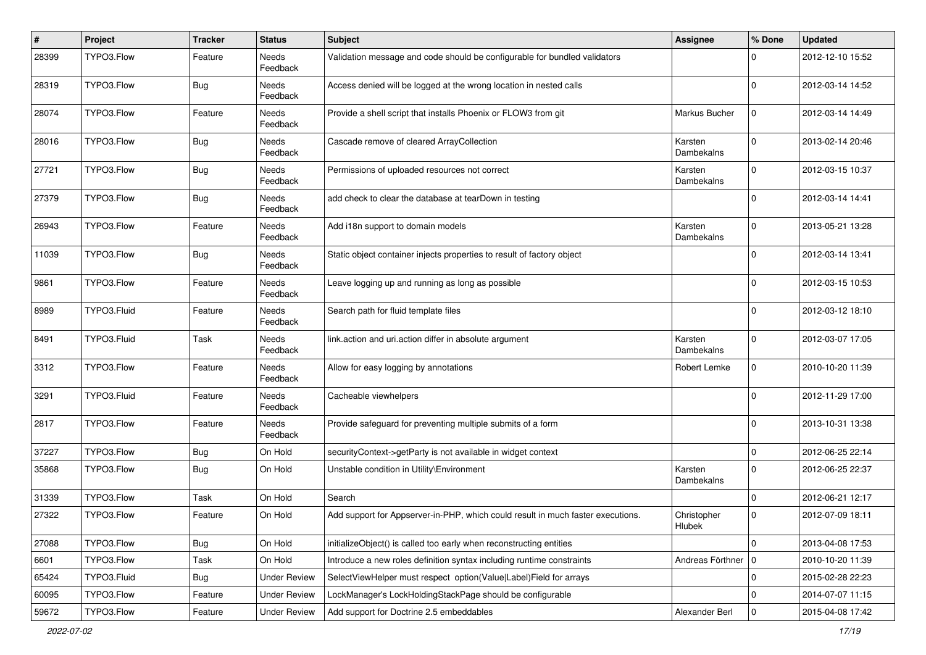| $\vert$ # | Project     | <b>Tracker</b> | <b>Status</b>            | <b>Subject</b>                                                                  | Assignee              | % Done              | <b>Updated</b>   |
|-----------|-------------|----------------|--------------------------|---------------------------------------------------------------------------------|-----------------------|---------------------|------------------|
| 28399     | TYPO3.Flow  | Feature        | <b>Needs</b><br>Feedback | Validation message and code should be configurable for bundled validators       |                       | 0                   | 2012-12-10 15:52 |
| 28319     | TYPO3.Flow  | <b>Bug</b>     | Needs<br>Feedback        | Access denied will be logged at the wrong location in nested calls              |                       | $\Omega$            | 2012-03-14 14:52 |
| 28074     | TYPO3.Flow  | Feature        | Needs<br>Feedback        | Provide a shell script that installs Phoenix or FLOW3 from git                  | Markus Bucher         | $\mathbf 0$         | 2012-03-14 14:49 |
| 28016     | TYPO3.Flow  | Bug            | Needs<br>Feedback        | Cascade remove of cleared ArrayCollection                                       | Karsten<br>Dambekalns | $\mathbf 0$         | 2013-02-14 20:46 |
| 27721     | TYPO3.Flow  | <b>Bug</b>     | Needs<br>Feedback        | Permissions of uploaded resources not correct                                   | Karsten<br>Dambekalns | $\Omega$            | 2012-03-15 10:37 |
| 27379     | TYPO3.Flow  | <b>Bug</b>     | Needs<br>Feedback        | add check to clear the database at tearDown in testing                          |                       | $\Omega$            | 2012-03-14 14:41 |
| 26943     | TYPO3.Flow  | Feature        | Needs<br>Feedback        | Add i18n support to domain models                                               | Karsten<br>Dambekalns | $\Omega$            | 2013-05-21 13:28 |
| 11039     | TYPO3.Flow  | <b>Bug</b>     | Needs<br>Feedback        | Static object container injects properties to result of factory object          |                       | <sup>0</sup>        | 2012-03-14 13:41 |
| 9861      | TYPO3.Flow  | Feature        | Needs<br>Feedback        | Leave logging up and running as long as possible                                |                       | $\Omega$            | 2012-03-15 10:53 |
| 8989      | TYPO3.Fluid | Feature        | Needs<br>Feedback        | Search path for fluid template files                                            |                       | 0                   | 2012-03-12 18:10 |
| 8491      | TYPO3.Fluid | Task           | Needs<br>Feedback        | link.action and uri.action differ in absolute argument                          | Karsten<br>Dambekalns | $\Omega$            | 2012-03-07 17:05 |
| 3312      | TYPO3.Flow  | Feature        | Needs<br>Feedback        | Allow for easy logging by annotations                                           | Robert Lemke          | $\Omega$            | 2010-10-20 11:39 |
| 3291      | TYPO3.Fluid | Feature        | Needs<br>Feedback        | Cacheable viewhelpers                                                           |                       | $\Omega$            | 2012-11-29 17:00 |
| 2817      | TYPO3.Flow  | Feature        | Needs<br>Feedback        | Provide safeguard for preventing multiple submits of a form                     |                       | 0                   | 2013-10-31 13:38 |
| 37227     | TYPO3.Flow  | <b>Bug</b>     | On Hold                  | securityContext->getParty is not available in widget context                    |                       | $\mathbf 0$         | 2012-06-25 22:14 |
| 35868     | TYPO3.Flow  | <b>Bug</b>     | On Hold                  | Unstable condition in Utility\Environment                                       | Karsten<br>Dambekalns | $\Omega$            | 2012-06-25 22:37 |
| 31339     | TYPO3.Flow  | Task           | On Hold                  | Search                                                                          |                       | $\Omega$            | 2012-06-21 12:17 |
| 27322     | TYPO3.Flow  | Feature        | On Hold                  | Add support for Appserver-in-PHP, which could result in much faster executions. | Christopher<br>Hlubek | $\mathbf 0$         | 2012-07-09 18:11 |
| 27088     | TYPO3.Flow  | <b>Bug</b>     | On Hold                  | initializeObject() is called too early when reconstructing entities             |                       | $\mathbf 0$         | 2013-04-08 17:53 |
| 6601      | TYPO3.Flow  | Task           | On Hold                  | Introduce a new roles definition syntax including runtime constraints           | Andreas Förthner   0  |                     | 2010-10-20 11:39 |
| 65424     | TYPO3.Fluid | <b>Bug</b>     | <b>Under Review</b>      | SelectViewHelper must respect option(Value Label)Field for arrays               |                       | 0                   | 2015-02-28 22:23 |
| 60095     | TYPO3.Flow  | Feature        | <b>Under Review</b>      | LockManager's LockHoldingStackPage should be configurable                       |                       | $\mathbf 0$         | 2014-07-07 11:15 |
| 59672     | TYPO3.Flow  | Feature        | <b>Under Review</b>      | Add support for Doctrine 2.5 embeddables                                        | Alexander Berl        | $\mathsf{O}\xspace$ | 2015-04-08 17:42 |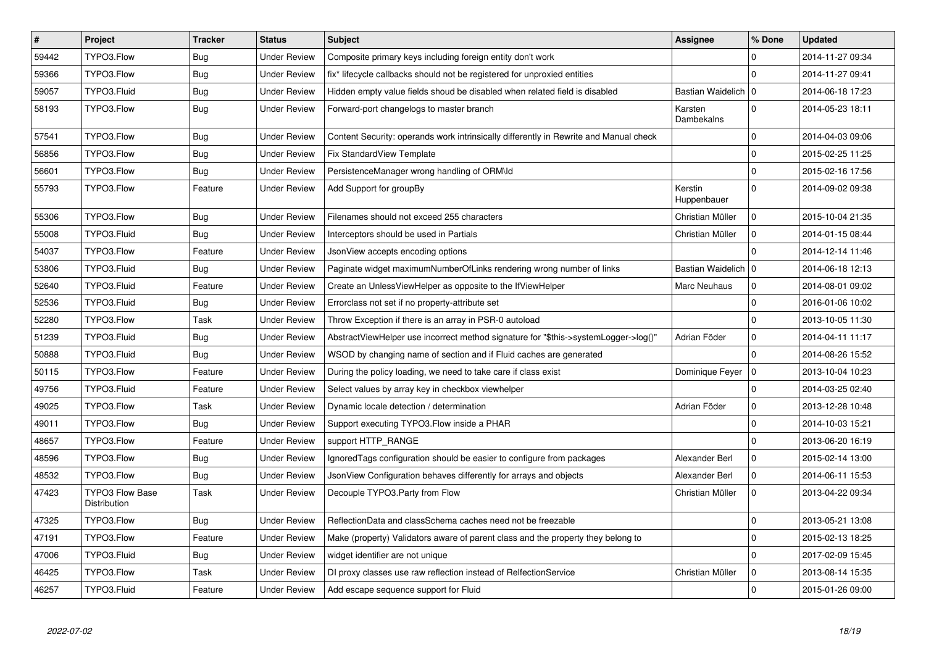| $\overline{\boldsymbol{H}}$ | Project                                | <b>Tracker</b> | <b>Status</b>       | <b>Subject</b>                                                                        | Assignee               | % Done      | <b>Updated</b>   |
|-----------------------------|----------------------------------------|----------------|---------------------|---------------------------------------------------------------------------------------|------------------------|-------------|------------------|
| 59442                       | TYPO3.Flow                             | <b>Bug</b>     | <b>Under Review</b> | Composite primary keys including foreign entity don't work                            |                        | 0           | 2014-11-27 09:34 |
| 59366                       | TYPO3.Flow                             | <b>Bug</b>     | <b>Under Review</b> | fix* lifecycle callbacks should not be registered for unproxied entities              |                        | $\Omega$    | 2014-11-27 09:41 |
| 59057                       | TYPO3.Fluid                            | Bug            | <b>Under Review</b> | Hidden empty value fields shoud be disabled when related field is disabled            | Bastian Waidelich   0  |             | 2014-06-18 17:23 |
| 58193                       | TYPO3.Flow                             | <b>Bug</b>     | Under Review        | Forward-port changelogs to master branch                                              | Karsten<br>Dambekalns  | $\Omega$    | 2014-05-23 18:11 |
| 57541                       | TYPO3.Flow                             | <b>Bug</b>     | <b>Under Review</b> | Content Security: operands work intrinsically differently in Rewrite and Manual check |                        | $\mathbf 0$ | 2014-04-03 09:06 |
| 56856                       | TYPO3.Flow                             | <b>Bug</b>     | Under Review        | Fix StandardView Template                                                             |                        | $\mathbf 0$ | 2015-02-25 11:25 |
| 56601                       | TYPO3.Flow                             | <b>Bug</b>     | <b>Under Review</b> | PersistenceManager wrong handling of ORM\ld                                           |                        | $\mathbf 0$ | 2015-02-16 17:56 |
| 55793                       | TYPO3.Flow                             | Feature        | <b>Under Review</b> | Add Support for groupBy                                                               | Kerstin<br>Huppenbauer | $\Omega$    | 2014-09-02 09:38 |
| 55306                       | TYPO3.Flow                             | <b>Bug</b>     | <b>Under Review</b> | Filenames should not exceed 255 characters                                            | Christian Müller       | $\mathsf 0$ | 2015-10-04 21:35 |
| 55008                       | TYPO3.Fluid                            | <b>Bug</b>     | <b>Under Review</b> | Interceptors should be used in Partials                                               | Christian Müller       | $\mathbf 0$ | 2014-01-15 08:44 |
| 54037                       | TYPO3.Flow                             | Feature        | <b>Under Review</b> | JsonView accepts encoding options                                                     |                        | $\mathbf 0$ | 2014-12-14 11:46 |
| 53806                       | TYPO3.Fluid                            | Bug            | Under Review        | Paginate widget maximumNumberOfLinks rendering wrong number of links                  | Bastian Waidelich   0  |             | 2014-06-18 12:13 |
| 52640                       | TYPO3.Fluid                            | Feature        | Under Review        | Create an UnlessViewHelper as opposite to the IfViewHelper                            | Marc Neuhaus           | 0           | 2014-08-01 09:02 |
| 52536                       | TYPO3.Fluid                            | <b>Bug</b>     | <b>Under Review</b> | Errorclass not set if no property-attribute set                                       |                        | $\mathbf 0$ | 2016-01-06 10:02 |
| 52280                       | TYPO3.Flow                             | Task           | Under Review        | Throw Exception if there is an array in PSR-0 autoload                                |                        | $\mathbf 0$ | 2013-10-05 11:30 |
| 51239                       | TYPO3.Fluid                            | Bug            | <b>Under Review</b> | AbstractViewHelper use incorrect method signature for "\$this->systemLogger->log()'   | Adrian Föder           | $\mathbf 0$ | 2014-04-11 11:17 |
| 50888                       | TYPO3.Fluid                            | Bug            | Under Review        | WSOD by changing name of section and if Fluid caches are generated                    |                        | $\mathbf 0$ | 2014-08-26 15:52 |
| 50115                       | TYPO3.Flow                             | Feature        | Under Review        | During the policy loading, we need to take care if class exist                        | Dominique Feyer        | $\mathbf 0$ | 2013-10-04 10:23 |
| 49756                       | TYPO3.Fluid                            | Feature        | Under Review        | Select values by array key in checkbox viewhelper                                     |                        | $\Omega$    | 2014-03-25 02:40 |
| 49025                       | TYPO3.Flow                             | Task           | Under Review        | Dynamic locale detection / determination                                              | Adrian Föder           | 0           | 2013-12-28 10:48 |
| 49011                       | TYPO3.Flow                             | <b>Bug</b>     | <b>Under Review</b> | Support executing TYPO3. Flow inside a PHAR                                           |                        | $\Omega$    | 2014-10-03 15:21 |
| 48657                       | TYPO3.Flow                             | Feature        | Under Review        | support HTTP RANGE                                                                    |                        | $\mathbf 0$ | 2013-06-20 16:19 |
| 48596                       | TYPO3.Flow                             | <b>Bug</b>     | Under Review        | Ignored Tags configuration should be easier to configure from packages                | Alexander Berl         | $\mathbf 0$ | 2015-02-14 13:00 |
| 48532                       | TYPO3.Flow                             | <b>Bug</b>     | <b>Under Review</b> | JsonView Configuration behaves differently for arrays and objects                     | Alexander Berl         | $\mathbf 0$ | 2014-06-11 15:53 |
| 47423                       | <b>TYPO3 Flow Base</b><br>Distribution | Task           | <b>Under Review</b> | Decouple TYPO3. Party from Flow                                                       | Christian Müller       | $\mathbf 0$ | 2013-04-22 09:34 |
| 47325                       | TYPO3.Flow                             | Bug            | Under Review        | ReflectionData and classSchema caches need not be freezable                           |                        | $\mathbf 0$ | 2013-05-21 13:08 |
| 47191                       | TYPO3.Flow                             | Feature        | <b>Under Review</b> | Make (property) Validators aware of parent class and the property they belong to      |                        | $\mathbf 0$ | 2015-02-13 18:25 |
| 47006                       | TYPO3.Fluid                            | <b>Bug</b>     | Under Review        | widget identifier are not unique                                                      |                        | $\mathbf 0$ | 2017-02-09 15:45 |
| 46425                       | TYPO3.Flow                             | Task           | Under Review        | DI proxy classes use raw reflection instead of RelfectionService                      | Christian Müller       | 0           | 2013-08-14 15:35 |
| 46257                       | TYPO3.Fluid                            | Feature        | <b>Under Review</b> | Add escape sequence support for Fluid                                                 |                        | $\Omega$    | 2015-01-26 09:00 |